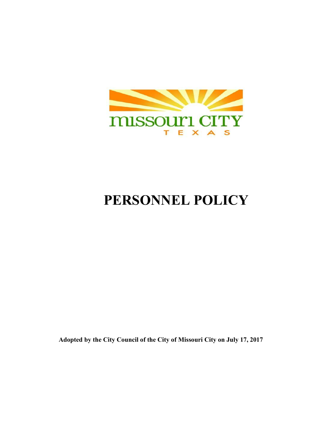

# **PERSONNEL POLICY**

**Adopted by the City Council of the City of Missouri City on July 17, 2017**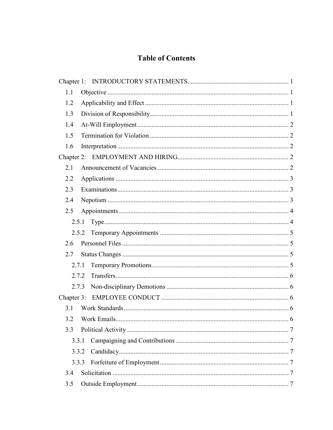## **Table of Contents**

| 1.1             |   |
|-----------------|---|
| 1.2             |   |
| 1.3             |   |
| 1.4             |   |
| 1.5             |   |
| 1.6             |   |
|                 |   |
| 2.1             |   |
| 2.2             |   |
| 2.3             |   |
| 2.4             |   |
| 2.5             |   |
| 2.5.1           |   |
| 2.5.2           |   |
| 2.6             |   |
| 2.7             |   |
| 2.7.1           |   |
| 2.7.2           |   |
| 2.7.3           |   |
| Chapter 3:      |   |
| 3.1             |   |
| 3.2 Work Emails | 6 |
| 3.3             |   |
| 3.3.1           |   |
| 3.3.2           |   |
| 3.3.3           |   |
| 3.4             |   |
| 3.5             |   |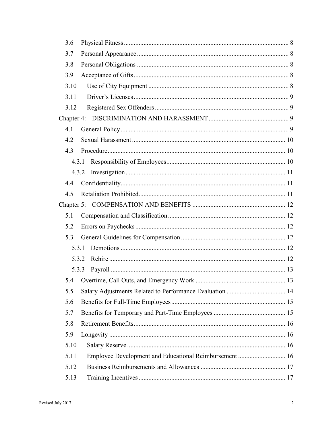| 3.6   |                                                        |  |
|-------|--------------------------------------------------------|--|
| 3.7   |                                                        |  |
| 3.8   |                                                        |  |
| 3.9   |                                                        |  |
| 3.10  |                                                        |  |
| 3.11  |                                                        |  |
| 3.12  |                                                        |  |
|       |                                                        |  |
| 4.1   |                                                        |  |
| 4.2   |                                                        |  |
| 4.3   |                                                        |  |
| 4.3.1 |                                                        |  |
| 4.3.2 |                                                        |  |
| 4.4   |                                                        |  |
| 4.5   |                                                        |  |
|       |                                                        |  |
| 5.1   |                                                        |  |
| 5.2   |                                                        |  |
| 5.3   |                                                        |  |
| 5.3.1 |                                                        |  |
| 5.3.2 |                                                        |  |
| 5.3.3 |                                                        |  |
|       |                                                        |  |
| 5.5   |                                                        |  |
| 5.6   |                                                        |  |
| 5.7   |                                                        |  |
| 5.8   |                                                        |  |
| 5.9   |                                                        |  |
| 5.10  |                                                        |  |
| 5.11  | Employee Development and Educational Reimbursement  16 |  |
| 5.12  |                                                        |  |
| 5.13  |                                                        |  |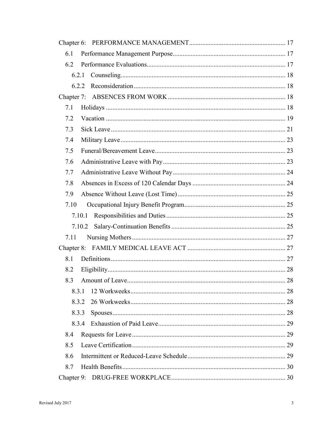| 6.1  |                 |    |
|------|-----------------|----|
| 6.2  |                 |    |
|      | 6.2.1           |    |
|      | 6.2.2           |    |
|      |                 |    |
| 7.1  |                 |    |
| 7.2  |                 |    |
| 7.3  |                 |    |
| 7.4  |                 |    |
| 7.5  |                 |    |
| 7.6  |                 |    |
| 7.7  |                 |    |
| 7.8  |                 |    |
| 7.9  |                 |    |
| 7.10 |                 |    |
|      | 7.10.1          |    |
|      | 7.10.2          |    |
| 7.11 |                 |    |
|      |                 |    |
| 8.1  |                 |    |
| 8.2  |                 |    |
| 8.3  | Amount of Leave | 28 |
|      | 8.3.1           |    |
|      | 8.3.2           |    |
|      | 8.3.3           |    |
|      | 8.3.4           |    |
| 8.4  |                 |    |
| 8.5  |                 |    |
| 8.6  |                 |    |
| 8.7  |                 |    |
|      |                 |    |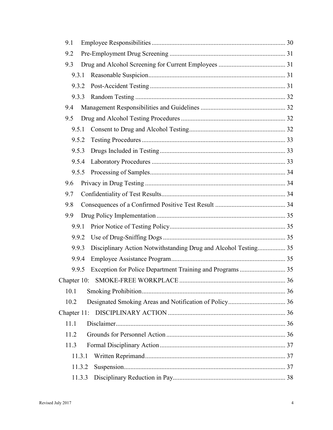| 9.1    |                                                                 |  |
|--------|-----------------------------------------------------------------|--|
| 9.2    |                                                                 |  |
| 9.3    |                                                                 |  |
| 9.3.1  |                                                                 |  |
| 9.3.2  |                                                                 |  |
| 9.3.3  |                                                                 |  |
| 9.4    |                                                                 |  |
| 9.5    |                                                                 |  |
| 9.5.1  |                                                                 |  |
| 9.5.2  |                                                                 |  |
| 9.5.3  |                                                                 |  |
| 9.5.4  |                                                                 |  |
| 9.5.5  |                                                                 |  |
| 9.6    |                                                                 |  |
| 9.7    |                                                                 |  |
| 9.8    |                                                                 |  |
| 9.9    |                                                                 |  |
| 9.9.1  |                                                                 |  |
| 9.9.2  |                                                                 |  |
| 9.9.3  | Disciplinary Action Notwithstanding Drug and Alcohol Testing 35 |  |
| 9.9.4  |                                                                 |  |
| 9.9.5  |                                                                 |  |
|        | 36                                                              |  |
| 10.1   |                                                                 |  |
| 10.2   |                                                                 |  |
|        |                                                                 |  |
| 11.1   |                                                                 |  |
| 11.2   |                                                                 |  |
| 11.3   |                                                                 |  |
| 11.3.1 |                                                                 |  |
| 11.3.2 |                                                                 |  |
| 11.3.3 |                                                                 |  |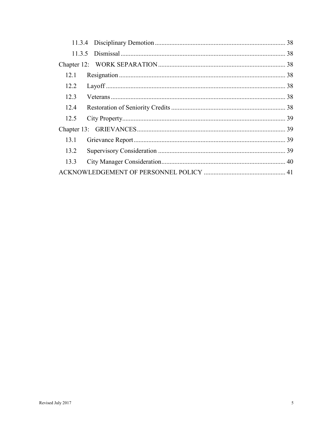| 12.1 |  |
|------|--|
| 12.2 |  |
| 12.3 |  |
| 12.4 |  |
| 12.5 |  |
|      |  |
| 13.1 |  |
| 13.2 |  |
| 13.3 |  |
|      |  |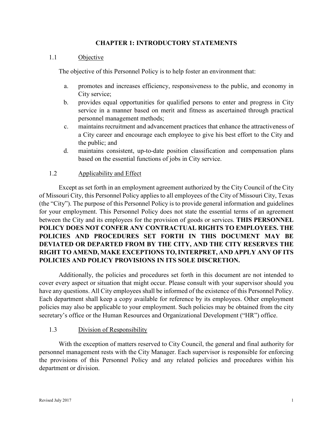#### **CHAPTER 1: INTRODUCTORY STATEMENTS**

#### 1.1 Objective

The objective of this Personnel Policy is to help foster an environment that:

- a. promotes and increases efficiency, responsiveness to the public, and economy in City service;
- b. provides equal opportunities for qualified persons to enter and progress in City service in a manner based on merit and fitness as ascertained through practical personnel management methods;
- c. maintains recruitment and advancement practices that enhance the attractiveness of a City career and encourage each employee to give his best effort to the City and the public; and
- d. maintains consistent, up-to-date position classification and compensation plans based on the essential functions of jobs in City service.

#### 1.2 Applicability and Effect

Except as set forth in an employment agreement authorized by the City Council of the City of Missouri City, this Personnel Policy applies to all employees of the City of Missouri City, Texas (the "City"). The purpose of this Personnel Policy is to provide general information and guidelines for your employment. This Personnel Policy does not state the essential terms of an agreement between the City and its employees for the provision of goods or services. **THIS PERSONNEL POLICY DOES NOT CONFER ANY CONTRACTUAL RIGHTS TO EMPLOYEES. THE POLICIES AND PROCEDURES SET FORTH IN THIS DOCUMENT MAY BE DEVIATED OR DEPARTED FROM BY THE CITY, AND THE CITY RESERVES THE RIGHT TO AMEND, MAKE EXCEPTIONS TO, INTERPRET, AND APPLY ANY OF ITS POLICIES AND POLICY PROVISIONS IN ITS SOLE DISCRETION.**

Additionally, the policies and procedures set forth in this document are not intended to cover every aspect or situation that might occur. Please consult with your supervisor should you have any questions. All City employees shall be informed of the existence of this Personnel Policy. Each department shall keep a copy available for reference by its employees. Other employment policies may also be applicable to your employment. Such policies may be obtained from the city secretary's office or the Human Resources and Organizational Development ("HR") office.

#### 1.3 Division of Responsibility

With the exception of matters reserved to City Council, the general and final authority for personnel management rests with the City Manager. Each supervisor is responsible for enforcing the provisions of this Personnel Policy and any related policies and procedures within his department or division.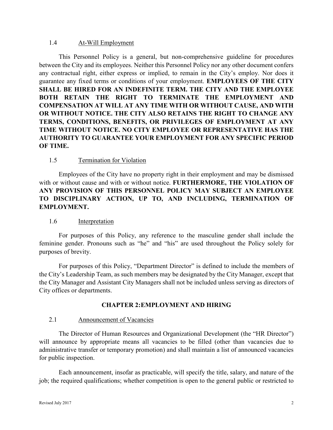#### 1.4 At-Will Employment

This Personnel Policy is a general, but non-comprehensive guideline for procedures between the City and its employees. Neither this Personnel Policy nor any other document confers any contractual right, either express or implied, to remain in the City's employ. Nor does it guarantee any fixed terms or conditions of your employment. **EMPLOYEES OF THE CITY SHALL BE HIRED FOR AN INDEFINITE TERM. THE CITY AND THE EMPLOYEE BOTH RETAIN THE RIGHT TO TERMINATE THE EMPLOYMENT AND COMPENSATION AT WILL AT ANY TIME WITH OR WITHOUT CAUSE, AND WITH OR WITHOUT NOTICE. THE CITY ALSO RETAINS THE RIGHT TO CHANGE ANY TERMS, CONDITIONS, BENEFITS, OR PRIVILEGES OF EMPLOYMENT AT ANY TIME WITHOUT NOTICE. NO CITY EMPLOYEE OR REPRESENTATIVE HAS THE AUTHORITY TO GUARANTEE YOUR EMPLOYMENT FOR ANY SPECIFIC PERIOD OF TIME.** 

## 1.5 Termination for Violation

Employees of the City have no property right in their employment and may be dismissed with or without cause and with or without notice. **FURTHERMORE, THE VIOLATION OF ANY PROVISION OF THIS PERSONNEL POLICY MAY SUBJECT AN EMPLOYEE TO DISCIPLINARY ACTION, UP TO, AND INCLUDING, TERMINATION OF EMPLOYMENT.** 

#### 1.6 Interpretation

For purposes of this Policy, any reference to the masculine gender shall include the feminine gender. Pronouns such as "he" and "his" are used throughout the Policy solely for purposes of brevity.

For purposes of this Policy, "Department Director" is defined to include the members of the City's Leadership Team, as such members may be designated by the City Manager, except that the City Manager and Assistant City Managers shall not be included unless serving as directors of City offices or departments.

#### **CHAPTER 2:EMPLOYMENT AND HIRING**

#### 2.1 Announcement of Vacancies

The Director of Human Resources and Organizational Development (the "HR Director") will announce by appropriate means all vacancies to be filled (other than vacancies due to administrative transfer or temporary promotion) and shall maintain a list of announced vacancies for public inspection.

Each announcement, insofar as practicable, will specify the title, salary, and nature of the job; the required qualifications; whether competition is open to the general public or restricted to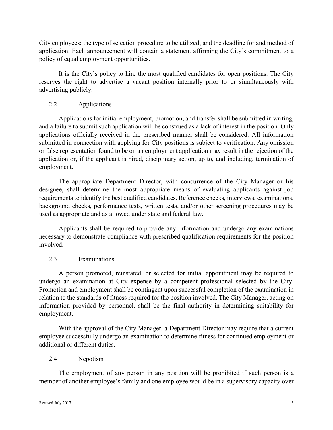City employees; the type of selection procedure to be utilized; and the deadline for and method of application. Each announcement will contain a statement affirming the City's commitment to a policy of equal employment opportunities.

It is the City's policy to hire the most qualified candidates for open positions. The City reserves the right to advertise a vacant position internally prior to or simultaneously with advertising publicly.

## 2.2 Applications

Applications for initial employment, promotion, and transfer shall be submitted in writing, and a failure to submit such application will be construed as a lack of interest in the position. Only applications officially received in the prescribed manner shall be considered. All information submitted in connection with applying for City positions is subject to verification. Any omission or false representation found to be on an employment application may result in the rejection of the application or, if the applicant is hired, disciplinary action, up to, and including, termination of employment.

The appropriate Department Director, with concurrence of the City Manager or his designee, shall determine the most appropriate means of evaluating applicants against job requirements to identify the best qualified candidates. Reference checks, interviews, examinations, background checks, performance tests, written tests, and/or other screening procedures may be used as appropriate and as allowed under state and federal law.

Applicants shall be required to provide any information and undergo any examinations necessary to demonstrate compliance with prescribed qualification requirements for the position involved.

## 2.3 Examinations

A person promoted, reinstated, or selected for initial appointment may be required to undergo an examination at City expense by a competent professional selected by the City. Promotion and employment shall be contingent upon successful completion of the examination in relation to the standards of fitness required for the position involved. The City Manager, acting on information provided by personnel, shall be the final authority in determining suitability for employment.

With the approval of the City Manager, a Department Director may require that a current employee successfully undergo an examination to determine fitness for continued employment or additional or different duties.

## 2.4 Nepotism

The employment of any person in any position will be prohibited if such person is a member of another employee's family and one employee would be in a supervisory capacity over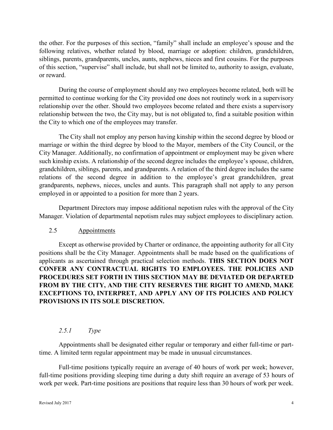the other. For the purposes of this section, "family" shall include an employee's spouse and the following relatives, whether related by blood, marriage or adoption: children, grandchildren, siblings, parents, grandparents, uncles, aunts, nephews, nieces and first cousins. For the purposes of this section, "supervise" shall include, but shall not be limited to, authority to assign, evaluate, or reward.

During the course of employment should any two employees become related, both will be permitted to continue working for the City provided one does not routinely work in a supervisory relationship over the other. Should two employees become related and there exists a supervisory relationship between the two, the City may, but is not obligated to, find a suitable position within the City to which one of the employees may transfer.

The City shall not employ any person having kinship within the second degree by blood or marriage or within the third degree by blood to the Mayor, members of the City Council, or the City Manager. Additionally, no confirmation of appointment or employment may be given where such kinship exists. A relationship of the second degree includes the employee's spouse, children, grandchildren, siblings, parents, and grandparents. A relation of the third degree includes the same relations of the second degree in addition to the employee's great grandchildren, great grandparents, nephews, nieces, uncles and aunts. This paragraph shall not apply to any person employed in or appointed to a position for more than 2 years.

Department Directors may impose additional nepotism rules with the approval of the City Manager. Violation of departmental nepotism rules may subject employees to disciplinary action.

## 2.5 Appointments

Except as otherwise provided by Charter or ordinance, the appointing authority for all City positions shall be the City Manager. Appointments shall be made based on the qualifications of applicants as ascertained through practical selection methods. **THIS SECTION DOES NOT CONFER ANY CONTRACTUAL RIGHTS TO EMPLOYEES. THE POLICIES AND PROCEDURES SET FORTH IN THIS SECTION MAY BE DEVIATED OR DEPARTED FROM BY THE CITY, AND THE CITY RESERVES THE RIGHT TO AMEND, MAKE EXCEPTIONS TO, INTERPRET, AND APPLY ANY OF ITS POLICIES AND POLICY PROVISIONS IN ITS SOLE DISCRETION.**

## *2.5.1 Type*

Appointments shall be designated either regular or temporary and either full-time or parttime. A limited term regular appointment may be made in unusual circumstances.

Full-time positions typically require an average of 40 hours of work per week; however, full-time positions providing sleeping time during a duty shift require an average of 53 hours of work per week. Part-time positions are positions that require less than 30 hours of work per week.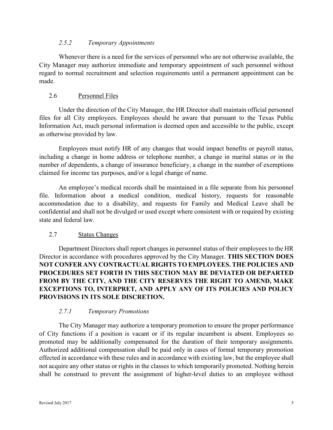#### *2.5.2 Temporary Appointments*

Whenever there is a need for the services of personnel who are not otherwise available, the City Manager may authorize immediate and temporary appointment of such personnel without regard to normal recruitment and selection requirements until a permanent appointment can be made.

#### 2.6 Personnel Files

Under the direction of the City Manager, the HR Director shall maintain official personnel files for all City employees. Employees should be aware that pursuant to the Texas Public Information Act, much personal information is deemed open and accessible to the public, except as otherwise provided by law.

Employees must notify HR of any changes that would impact benefits or payroll status, including a change in home address or telephone number, a change in marital status or in the number of dependents, a change of insurance beneficiary, a change in the number of exemptions claimed for income tax purposes, and/or a legal change of name.

An employee's medical records shall be maintained in a file separate from his personnel file. Information about a medical condition, medical history, requests for reasonable accommodation due to a disability, and requests for Family and Medical Leave shall be confidential and shall not be divulged or used except where consistent with or required by existing state and federal law.

## 2.7 Status Changes

Department Directors shall report changes in personnel status of their employees to the HR Director in accordance with procedures approved by the City Manager. **THIS SECTION DOES NOT CONFER ANY CONTRACTUAL RIGHTS TO EMPLOYEES. THE POLICIES AND PROCEDURES SET FORTH IN THIS SECTION MAY BE DEVIATED OR DEPARTED FROM BY THE CITY, AND THE CITY RESERVES THE RIGHT TO AMEND, MAKE EXCEPTIONS TO, INTERPRET, AND APPLY ANY OF ITS POLICIES AND POLICY PROVISIONS IN ITS SOLE DISCRETION.**

## *2.7.1 Temporary Promotions*

The City Manager may authorize a temporary promotion to ensure the proper performance of City functions if a position is vacant or if its regular incumbent is absent. Employees so promoted may be additionally compensated for the duration of their temporary assignments. Authorized additional compensation shall be paid only in cases of formal temporary promotion effected in accordance with these rules and in accordance with existing law, but the employee shall not acquire any other status or rights in the classes to which temporarily promoted. Nothing herein shall be construed to prevent the assignment of higher-level duties to an employee without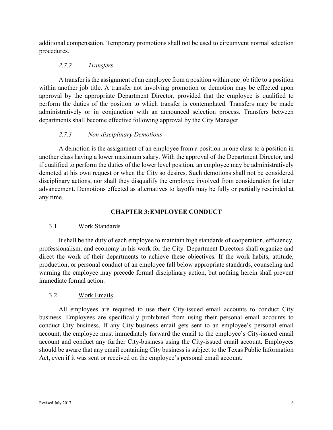additional compensation. Temporary promotions shall not be used to circumvent normal selection procedures.

## *2.7.2 Transfers*

A transfer is the assignment of an employee from a position within one job title to a position within another job title. A transfer not involving promotion or demotion may be effected upon approval by the appropriate Department Director, provided that the employee is qualified to perform the duties of the position to which transfer is contemplated. Transfers may be made administratively or in conjunction with an announced selection process. Transfers between departments shall become effective following approval by the City Manager.

## *2.7.3 Non-disciplinary Demotions*

A demotion is the assignment of an employee from a position in one class to a position in another class having a lower maximum salary. With the approval of the Department Director, and if qualified to perform the duties of the lower level position, an employee may be administratively demoted at his own request or when the City so desires. Such demotions shall not be considered disciplinary actions, nor shall they disqualify the employee involved from consideration for later advancement. Demotions effected as alternatives to layoffs may be fully or partially rescinded at any time.

## **CHAPTER 3:EMPLOYEE CONDUCT**

## 3.1 Work Standards

It shall be the duty of each employee to maintain high standards of cooperation, efficiency, professionalism, and economy in his work for the City. Department Directors shall organize and direct the work of their departments to achieve these objectives. If the work habits, attitude, production, or personal conduct of an employee fall below appropriate standards, counseling and warning the employee may precede formal disciplinary action, but nothing herein shall prevent immediate formal action.

## 3.2 Work Emails

All employees are required to use their City-issued email accounts to conduct City business. Employees are specifically prohibited from using their personal email accounts to conduct City business. If any City-business email gets sent to an employee's personal email account, the employee must immediately forward the email to the employee's City-issued email account and conduct any further City-business using the City-issued email account. Employees should be aware that any email containing City business is subject to the Texas Public Information Act, even if it was sent or received on the employee's personal email account.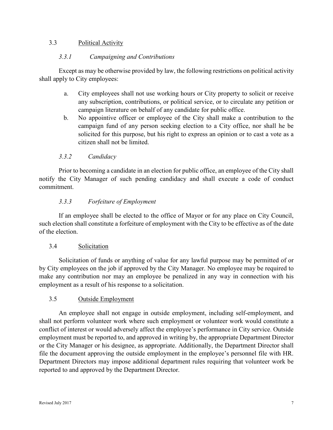#### 3.3 Political Activity

#### *3.3.1 Campaigning and Contributions*

Except as may be otherwise provided by law, the following restrictions on political activity shall apply to City employees:

- a. City employees shall not use working hours or City property to solicit or receive any subscription, contributions, or political service, or to circulate any petition or campaign literature on behalf of any candidate for public office.
- b. No appointive officer or employee of the City shall make a contribution to the campaign fund of any person seeking election to a City office, nor shall he be solicited for this purpose, but his right to express an opinion or to cast a vote as a citizen shall not be limited.

## *3.3.2 Candidacy*

Prior to becoming a candidate in an election for public office, an employee of the City shall notify the City Manager of such pending candidacy and shall execute a code of conduct commitment.

#### *3.3.3 Forfeiture of Employment*

If an employee shall be elected to the office of Mayor or for any place on City Council, such election shall constitute a forfeiture of employment with the City to be effective as of the date of the election.

#### 3.4 Solicitation

Solicitation of funds or anything of value for any lawful purpose may be permitted of or by City employees on the job if approved by the City Manager. No employee may be required to make any contribution nor may an employee be penalized in any way in connection with his employment as a result of his response to a solicitation.

## 3.5 Outside Employment

An employee shall not engage in outside employment, including self-employment, and shall not perform volunteer work where such employment or volunteer work would constitute a conflict of interest or would adversely affect the employee's performance in City service. Outside employment must be reported to, and approved in writing by, the appropriate Department Director or the City Manager or his designee, as appropriate. Additionally, the Department Director shall file the document approving the outside employment in the employee's personnel file with HR. Department Directors may impose additional department rules requiring that volunteer work be reported to and approved by the Department Director.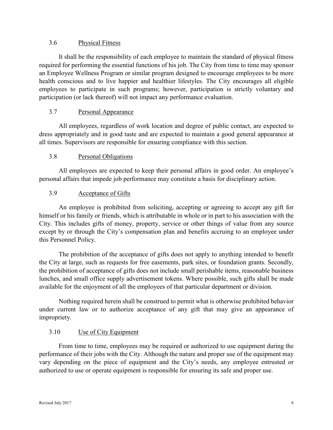#### 3.6 Physical Fitness

It shall be the responsibility of each employee to maintain the standard of physical fitness required for performing the essential functions of his job. The City from time to time may sponsor an Employee Wellness Program or similar program designed to encourage employees to be more health conscious and to live happier and healthier lifestyles. The City encourages all eligible employees to participate in such programs; however, participation is strictly voluntary and participation (or lack thereof) will not impact any performance evaluation.

## 3.7 Personal Appearance

All employees, regardless of work location and degree of public contact, are expected to dress appropriately and in good taste and are expected to maintain a good general appearance at all times. Supervisors are responsible for ensuring compliance with this section.

## 3.8 Personal Obligations

All employees are expected to keep their personal affairs in good order. An employee's personal affairs that impede job performance may constitute a basis for disciplinary action.

## 3.9 Acceptance of Gifts

An employee is prohibited from soliciting, accepting or agreeing to accept any gift for himself or his family or friends, which is attributable in whole or in part to his association with the City. This includes gifts of money, property, service or other things of value from any source except by or through the City's compensation plan and benefits accruing to an employee under this Personnel Policy.

The prohibition of the acceptance of gifts does not apply to anything intended to benefit the City at large, such as requests for free easements, park sites, or foundation grants. Secondly, the prohibition of acceptance of gifts does not include small perishable items, reasonable business lunches, and small office supply advertisement tokens. Where possible, such gifts shall be made available for the enjoyment of all the employees of that particular department or division.

Nothing required herein shall be construed to permit what is otherwise prohibited behavior under current law or to authorize acceptance of any gift that may give an appearance of impropriety.

## 3.10 Use of City Equipment

From time to time, employees may be required or authorized to use equipment during the performance of their jobs with the City. Although the nature and proper use of the equipment may vary depending on the piece of equipment and the City's needs, any employee entrusted or authorized to use or operate equipment is responsible for ensuring its safe and proper use.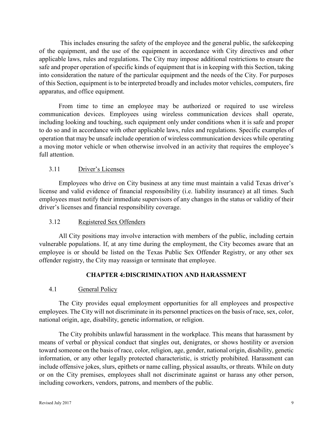This includes ensuring the safety of the employee and the general public, the safekeeping of the equipment, and the use of the equipment in accordance with City directives and other applicable laws, rules and regulations. The City may impose additional restrictions to ensure the safe and proper operation of specific kinds of equipment that is in keeping with this Section, taking into consideration the nature of the particular equipment and the needs of the City. For purposes of this Section, equipment is to be interpreted broadly and includes motor vehicles, computers, fire apparatus, and office equipment.

From time to time an employee may be authorized or required to use wireless communication devices. Employees using wireless communication devices shall operate, including looking and touching, such equipment only under conditions when it is safe and proper to do so and in accordance with other applicable laws, rules and regulations. Specific examples of operation that may be unsafe include operation of wireless communication devices while operating a moving motor vehicle or when otherwise involved in an activity that requires the employee's full attention.

## 3.11 Driver's Licenses

Employees who drive on City business at any time must maintain a valid Texas driver's license and valid evidence of financial responsibility (i.e. liability insurance) at all times. Such employees must notify their immediate supervisors of any changes in the status or validity of their driver's licenses and financial responsibility coverage.

## 3.12 Registered Sex Offenders

All City positions may involve interaction with members of the public, including certain vulnerable populations. If, at any time during the employment, the City becomes aware that an employee is or should be listed on the Texas Public Sex Offender Registry, or any other sex offender registry, the City may reassign or terminate that employee.

## **CHAPTER 4:DISCRIMINATION AND HARASSMENT**

## 4.1 General Policy

The City provides equal employment opportunities for all employees and prospective employees. The City will not discriminate in its personnel practices on the basis of race, sex, color, national origin, age, disability, genetic information, or religion.

The City prohibits unlawful harassment in the workplace. This means that harassment by means of verbal or physical conduct that singles out, denigrates, or shows hostility or aversion toward someone on the basis of race, color, religion, age, gender, national origin, disability, genetic information, or any other legally protected characteristic, is strictly prohibited. Harassment can include offensive jokes, slurs, epithets or name calling, physical assaults, or threats. While on duty or on the City premises, employees shall not discriminate against or harass any other person, including coworkers, vendors, patrons, and members of the public.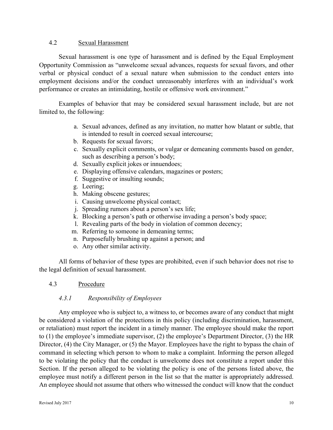#### 4.2 Sexual Harassment

Sexual harassment is one type of harassment and is defined by the Equal Employment Opportunity Commission as "unwelcome sexual advances, requests for sexual favors, and other verbal or physical conduct of a sexual nature when submission to the conduct enters into employment decisions and/or the conduct unreasonably interferes with an individual's work performance or creates an intimidating, hostile or offensive work environment."

Examples of behavior that may be considered sexual harassment include, but are not limited to, the following:

- a. Sexual advances, defined as any invitation, no matter how blatant or subtle, that is intended to result in coerced sexual intercourse;
- b. Requests for sexual favors;
- c. Sexually explicit comments, or vulgar or demeaning comments based on gender, such as describing a person's body;
- d. Sexually explicit jokes or innuendoes;
- e. Displaying offensive calendars, magazines or posters;
- f. Suggestive or insulting sounds;
- g. Leering;
- h. Making obscene gestures;
- i. Causing unwelcome physical contact;
- j. Spreading rumors about a person's sex life;
- k. Blocking a person's path or otherwise invading a person's body space;
- l. Revealing parts of the body in violation of common decency;
- m. Referring to someone in demeaning terms;
- n. Purposefully brushing up against a person; and
- o. Any other similar activity.

All forms of behavior of these types are prohibited, even if such behavior does not rise to the legal definition of sexual harassment.

#### 4.3 Procedure

## *4.3.1 Responsibility of Employees*

Any employee who is subject to, a witness to, or becomes aware of any conduct that might be considered a violation of the protections in this policy (including discrimination, harassment, or retaliation) must report the incident in a timely manner. The employee should make the report to (1) the employee's immediate supervisor, (2) the employee's Department Director, (3) the HR Director, (4) the City Manager, or (5) the Mayor. Employees have the right to bypass the chain of command in selecting which person to whom to make a complaint. Informing the person alleged to be violating the policy that the conduct is unwelcome does not constitute a report under this Section. If the person alleged to be violating the policy is one of the persons listed above, the employee must notify a different person in the list so that the matter is appropriately addressed. An employee should not assume that others who witnessed the conduct will know that the conduct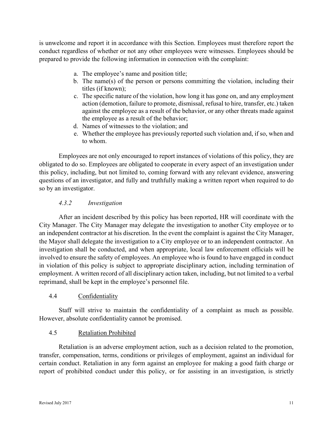is unwelcome and report it in accordance with this Section. Employees must therefore report the conduct regardless of whether or not any other employees were witnesses. Employees should be prepared to provide the following information in connection with the complaint:

- a. The employee's name and position title;
- b. The name(s) of the person or persons committing the violation, including their titles (if known);
- c. The specific nature of the violation, how long it has gone on, and any employment action (demotion, failure to promote, dismissal, refusal to hire, transfer, etc.) taken against the employee as a result of the behavior, or any other threats made against the employee as a result of the behavior;
- d. Names of witnesses to the violation; and
- e. Whether the employee has previously reported such violation and, if so, when and to whom.

Employees are not only encouraged to report instances of violations of this policy, they are obligated to do so. Employees are obligated to cooperate in every aspect of an investigation under this policy, including, but not limited to, coming forward with any relevant evidence, answering questions of an investigator, and fully and truthfully making a written report when required to do so by an investigator.

## *4.3.2 Investigation*

After an incident described by this policy has been reported, HR will coordinate with the City Manager. The City Manager may delegate the investigation to another City employee or to an independent contractor at his discretion. In the event the complaint is against the City Manager, the Mayor shall delegate the investigation to a City employee or to an independent contractor. An investigation shall be conducted, and when appropriate, local law enforcement officials will be involved to ensure the safety of employees. An employee who is found to have engaged in conduct in violation of this policy is subject to appropriate disciplinary action, including termination of employment. A written record of all disciplinary action taken, including, but not limited to a verbal reprimand, shall be kept in the employee's personnel file.

## 4.4 Confidentiality

Staff will strive to maintain the confidentiality of a complaint as much as possible. However, absolute confidentiality cannot be promised.

## 4.5 Retaliation Prohibited

Retaliation is an adverse employment action, such as a decision related to the promotion, transfer, compensation, terms, conditions or privileges of employment, against an individual for certain conduct. Retaliation in any form against an employee for making a good faith charge or report of prohibited conduct under this policy, or for assisting in an investigation, is strictly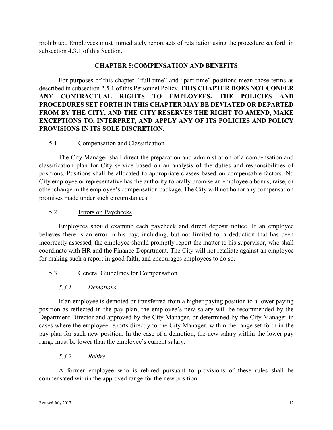prohibited. Employees must immediately report acts of retaliation using the procedure set forth in subsection 4.3.1 of this Section.

#### **CHAPTER 5:COMPENSATION AND BENEFITS**

For purposes of this chapter, "full-time" and "part-time" positions mean those terms as described in subsection 2.5.1 of this Personnel Policy. **THIS CHAPTER DOES NOT CONFER ANY CONTRACTUAL RIGHTS TO EMPLOYEES. THE POLICIES AND PROCEDURES SET FORTH IN THIS CHAPTER MAY BE DEVIATED OR DEPARTED FROM BY THE CITY, AND THE CITY RESERVES THE RIGHT TO AMEND, MAKE EXCEPTIONS TO, INTERPRET, AND APPLY ANY OF ITS POLICIES AND POLICY PROVISIONS IN ITS SOLE DISCRETION.**

#### 5.1 Compensation and Classification

The City Manager shall direct the preparation and administration of a compensation and classification plan for City service based on an analysis of the duties and responsibilities of positions. Positions shall be allocated to appropriate classes based on compensable factors. No City employee or representative has the authority to orally promise an employee a bonus, raise, or other change in the employee's compensation package. The City will not honor any compensation promises made under such circumstances.

#### 5.2 Errors on Paychecks

Employees should examine each paycheck and direct deposit notice. If an employee believes there is an error in his pay, including, but not limited to, a deduction that has been incorrectly assessed, the employee should promptly report the matter to his supervisor, who shall coordinate with HR and the Finance Department. The City will not retaliate against an employee for making such a report in good faith, and encourages employees to do so.

## 5.3 General Guidelines for Compensation

#### *5.3.1 Demotions*

If an employee is demoted or transferred from a higher paying position to a lower paying position as reflected in the pay plan, the employee's new salary will be recommended by the Department Director and approved by the City Manager, or determined by the City Manager in cases where the employee reports directly to the City Manager, within the range set forth in the pay plan for such new position. In the case of a demotion, the new salary within the lower pay range must be lower than the employee's current salary.

#### *5.3.2 Rehire*

A former employee who is rehired pursuant to provisions of these rules shall be compensated within the approved range for the new position.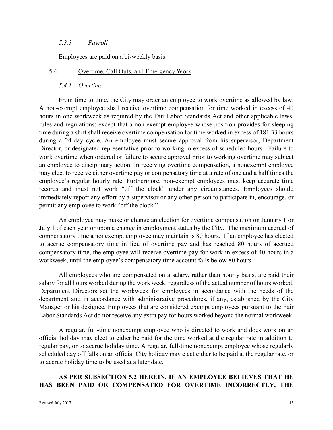#### *5.3.3 Payroll*

Employees are paid on a bi-weekly basis.

#### 5.4 Overtime, Call Outs, and Emergency Work

#### *5.4.1 Overtime*

From time to time, the City may order an employee to work overtime as allowed by law. A non-exempt employee shall receive overtime compensation for time worked in excess of 40 hours in one workweek as required by the Fair Labor Standards Act and other applicable laws, rules and regulations; except that a non-exempt employee whose position provides for sleeping time during a shift shall receive overtime compensation for time worked in excess of 181.33 hours during a 24-day cycle. An employee must secure approval from his supervisor, Department Director, or designated representative prior to working in excess of scheduled hours. Failure to work overtime when ordered or failure to secure approval prior to working overtime may subject an employee to disciplinary action. In receiving overtime compensation, a nonexempt employee may elect to receive either overtime pay or compensatory time at a rate of one and a half times the employee's regular hourly rate. Furthermore, non-exempt employees must keep accurate time records and must not work "off the clock" under any circumstances. Employees should immediately report any effort by a supervisor or any other person to participate in, encourage, or permit any employee to work "off the clock."

An employee may make or change an election for overtime compensation on January 1 or July 1 of each year or upon a change in employment status by the City. The maximum accrual of compensatory time a nonexempt employee may maintain is 80 hours. If an employee has elected to accrue compensatory time in lieu of overtime pay and has reached 80 hours of accrued compensatory time, the employee will receive overtime pay for work in excess of 40 hours in a workweek; until the employee's compensatory time account falls below 80 hours.

All employees who are compensated on a salary, rather than hourly basis, are paid their salary for all hours worked during the work week, regardless of the actual number of hours worked. Department Directors set the workweek for employees in accordance with the needs of the department and in accordance with administrative procedures, if any, established by the City Manager or his designee. Employees that are considered exempt employees pursuant to the Fair Labor Standards Act do not receive any extra pay for hours worked beyond the normal workweek.

A regular, full-time nonexempt employee who is directed to work and does work on an official holiday may elect to either be paid for the time worked at the regular rate in addition to regular pay, or to accrue holiday time. A regular, full-time nonexempt employee whose regularly scheduled day off falls on an official City holiday may elect either to be paid at the regular rate, or to accrue holiday time to be used at a later date.

## **AS PER SUBSECTION 5.2 HEREIN, IF AN EMPLOYEE BELIEVES THAT HE HAS BEEN PAID OR COMPENSATED FOR OVERTIME INCORRECTLY, THE**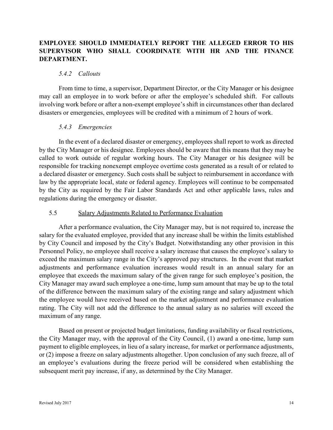## **EMPLOYEE SHOULD IMMEDIATELY REPORT THE ALLEGED ERROR TO HIS SUPERVISOR WHO SHALL COORDINATE WITH HR AND THE FINANCE DEPARTMENT.**

#### *5.4.2 Callouts*

From time to time, a supervisor, Department Director, or the City Manager or his designee may call an employee in to work before or after the employee's scheduled shift. For callouts involving work before or after a non-exempt employee's shift in circumstances other than declared disasters or emergencies, employees will be credited with a minimum of 2 hours of work.

#### *5.4.3 Emergencies*

In the event of a declared disaster or emergency, employees shall report to work as directed by the City Manager or his designee. Employees should be aware that this means that they may be called to work outside of regular working hours. The City Manager or his designee will be responsible for tracking nonexempt employee overtime costs generated as a result of or related to a declared disaster or emergency. Such costs shall be subject to reimbursement in accordance with law by the appropriate local, state or federal agency. Employees will continue to be compensated by the City as required by the Fair Labor Standards Act and other applicable laws, rules and regulations during the emergency or disaster.

#### 5.5 Salary Adjustments Related to Performance Evaluation

After a performance evaluation, the City Manager may, but is not required to, increase the salary for the evaluated employee, provided that any increase shall be within the limits established by City Council and imposed by the City's Budget. Notwithstanding any other provision in this Personnel Policy, no employee shall receive a salary increase that causes the employee's salary to exceed the maximum salary range in the City's approved pay structures. In the event that market adjustments and performance evaluation increases would result in an annual salary for an employee that exceeds the maximum salary of the given range for such employee's position, the City Manager may award such employee a one-time, lump sum amount that may be up to the total of the difference between the maximum salary of the existing range and salary adjustment which the employee would have received based on the market adjustment and performance evaluation rating. The City will not add the difference to the annual salary as no salaries will exceed the maximum of any range.

Based on present or projected budget limitations, funding availability or fiscal restrictions, the City Manager may, with the approval of the City Council, (1) award a one-time, lump sum payment to eligible employees, in lieu of a salary increase, for market or performance adjustments, or (2) impose a freeze on salary adjustments altogether. Upon conclusion of any such freeze, all of an employee's evaluations during the freeze period will be considered when establishing the subsequent merit pay increase, if any, as determined by the City Manager.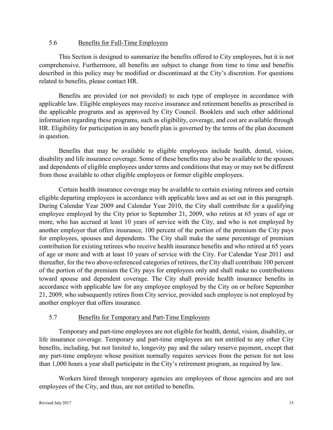#### 5.6 Benefits for Full-Time Employees

This Section is designed to summarize the benefits offered to City employees, but it is not comprehensive. Furthermore, all benefits are subject to change from time to time and benefits described in this policy may be modified or discontinued at the City's discretion. For questions related to benefits, please contact HR.

Benefits are provided (or not provided) to each type of employee in accordance with applicable law. Eligible employees may receive insurance and retirement benefits as prescribed in the applicable programs and as approved by City Council. Booklets and such other additional information regarding these programs, such as eligibility, coverage, and cost are available through HR. Eligibility for participation in any benefit plan is governed by the terms of the plan document in question.

Benefits that may be available to eligible employees include health, dental, vision, disability and life insurance coverage. Some of these benefits may also be available to the spouses and dependents of eligible employees under terms and conditions that may or may not be different from those available to other eligible employees or former eligible employees.

Certain health insurance coverage may be available to certain existing retirees and certain eligible departing employees in accordance with applicable laws and as set out in this paragraph. During Calendar Year 2009 and Calendar Year 2010, the City shall contribute for a qualifying employee employed by the City prior to September 21, 2009, who retires at 65 years of age or more, who has accrued at least 10 years of service with the City, and who is not employed by another employer that offers insurance, 100 percent of the portion of the premium the City pays for employees, spouses and dependents. The City shall make the same percentage of premium contribution for existing retirees who receive health insurance benefits and who retired at 65 years of age or more and with at least 10 years of service with the City. For Calendar Year 2011 and thereafter, for the two above-referenced categories of retirees, the City shall contribute 100 percent of the portion of the premium the City pays for employees only and shall make no contributions toward spouse and dependent coverage. The City shall provide health insurance benefits in accordance with applicable law for any employee employed by the City on or before September 21, 2009, who subsequently retires from City service, provided such employee is not employed by another employer that offers insurance.

## 5.7 Benefits for Temporary and Part-Time Employees

Temporary and part-time employees are not eligible for health, dental, vision, disability, or life insurance coverage. Temporary and part-time employees are not entitled to any other City benefits, including, but not limited to, longevity pay and the salary reserve payment, except that any part-time employee whose position normally requires services from the person for not less than 1,000 hours a year shall participate in the City's retirement program, as required by law.

Workers hired through temporary agencies are employees of those agencies and are not employees of the City, and thus, are not entitled to benefits.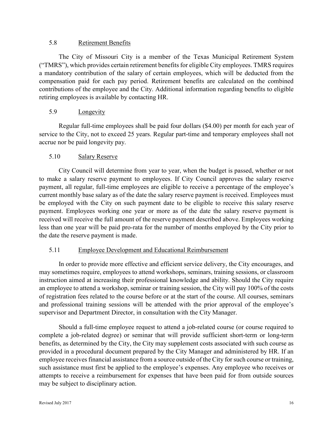#### 5.8 Retirement Benefits

The City of Missouri City is a member of the Texas Municipal Retirement System ("TMRS"), which provides certain retirement benefits for eligible City employees. TMRS requires a mandatory contribution of the salary of certain employees, which will be deducted from the compensation paid for each pay period. Retirement benefits are calculated on the combined contributions of the employee and the City. Additional information regarding benefits to eligible retiring employees is available by contacting HR.

## 5.9 Longevity

Regular full-time employees shall be paid four dollars (\$4.00) per month for each year of service to the City, not to exceed 25 years. Regular part-time and temporary employees shall not accrue nor be paid longevity pay.

## 5.10 Salary Reserve

City Council will determine from year to year, when the budget is passed, whether or not to make a salary reserve payment to employees. If City Council approves the salary reserve payment, all regular, full-time employees are eligible to receive a percentage of the employee's current monthly base salary as of the date the salary reserve payment is received. Employees must be employed with the City on such payment date to be eligible to receive this salary reserve payment. Employees working one year or more as of the date the salary reserve payment is received will receive the full amount of the reserve payment described above. Employees working less than one year will be paid pro-rata for the number of months employed by the City prior to the date the reserve payment is made.

## 5.11 Employee Development and Educational Reimbursement

In order to provide more effective and efficient service delivery, the City encourages, and may sometimes require, employees to attend workshops, seminars, training sessions, or classroom instruction aimed at increasing their professional knowledge and ability. Should the City require an employee to attend a workshop, seminar or training session, the City will pay 100% of the costs of registration fees related to the course before or at the start of the course. All courses, seminars and professional training sessions will be attended with the prior approval of the employee's supervisor and Department Director, in consultation with the City Manager.

Should a full-time employee request to attend a job-related course (or course required to complete a job-related degree) or seminar that will provide sufficient short-term or long-term benefits, as determined by the City, the City may supplement costs associated with such course as provided in a procedural document prepared by the City Manager and administered by HR. If an employee receives financial assistance from a source outside of the City for such course or training, such assistance must first be applied to the employee's expenses. Any employee who receives or attempts to receive a reimbursement for expenses that have been paid for from outside sources may be subject to disciplinary action.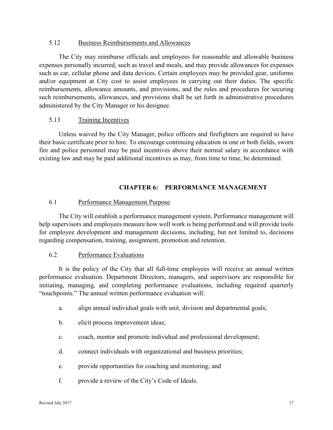#### 5.12 Business Reimbursements and Allowances

The City may reimburse officials and employees for reasonable and allowable business expenses personally incurred, such as travel and meals, and may provide allowances for expenses such as car, cellular phone and data devices. Certain employees may be provided gear, uniforms and/or equipment at City cost to assist employees in carrying out their duties. The specific reimbursements, allowance amounts, and provisions, and the rules and procedures for securing such reimbursements, allowances, and provisions shall be set forth in administrative procedures administered by the City Manager or his designee.

#### 5.13 Training Incentives

Unless waived by the City Manager, police officers and firefighters are required to have their basic certificate prior to hire. To encourage continuing education in one or both fields, sworn fire and police personnel may be paid incentives above their normal salary in accordance with existing law and may be paid additional incentives as may, from time to time, be determined.

#### **CHAPTER 6: PERFORMANCE MANAGEMENT**

#### 6.1 Performance Management Purpose

The City will establish a performance management system. Performance management will help supervisors and employees measure how well work is being performed and will provide tools for employee development and management decisions, including, but not limited to, decisions regarding compensation, training, assignment, promotion and retention.

#### 6.2 Performance Evaluations

It is the policy of the City that all full-time employees will receive an annual written performance evaluation. Department Directors, managers, and supervisors are responsible for initiating, managing, and completing performance evaluations, including required quarterly "touchpoints." The annual written performance evaluation will:

- a. align annual individual goals with unit, division and departmental goals;
- b. elicit process improvement ideas;
- c. coach, mentor and promote individual and professional development;
- d. connect individuals with organizational and business priorities;
- e. provide opportunities for coaching and mentoring; and
- f. provide a review of the City's Code of Ideals.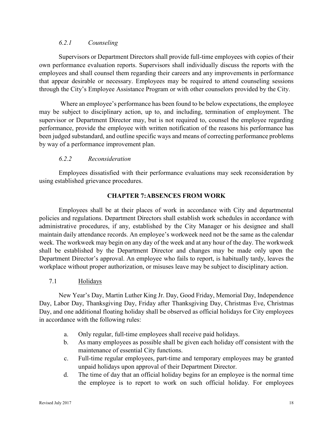#### *6.2.1 Counseling*

Supervisors or Department Directors shall provide full-time employees with copies of their own performance evaluation reports. Supervisors shall individually discuss the reports with the employees and shall counsel them regarding their careers and any improvements in performance that appear desirable or necessary. Employees may be required to attend counseling sessions through the City's Employee Assistance Program or with other counselors provided by the City.

 Where an employee's performance has been found to be below expectations, the employee may be subject to disciplinary action, up to, and including, termination of employment. The supervisor or Department Director may, but is not required to, counsel the employee regarding performance, provide the employee with written notification of the reasons his performance has been judged substandard, and outline specific ways and means of correcting performance problems by way of a performance improvement plan.

## *6.2.2 Reconsideration*

Employees dissatisfied with their performance evaluations may seek reconsideration by using established grievance procedures.

#### **CHAPTER 7:ABSENCES FROM WORK**

Employees shall be at their places of work in accordance with City and departmental policies and regulations. Department Directors shall establish work schedules in accordance with administrative procedures, if any, established by the City Manager or his designee and shall maintain daily attendance records. An employee's workweek need not be the same as the calendar week. The workweek may begin on any day of the week and at any hour of the day. The workweek shall be established by the Department Director and changes may be made only upon the Department Director's approval. An employee who fails to report, is habitually tardy, leaves the workplace without proper authorization, or misuses leave may be subject to disciplinary action.

## 7.1 Holidays

New Year's Day, Martin Luther King Jr. Day, Good Friday, Memorial Day, Independence Day, Labor Day, Thanksgiving Day, Friday after Thanksgiving Day, Christmas Eve, Christmas Day, and one additional floating holiday shall be observed as official holidays for City employees in accordance with the following rules:

- a. Only regular, full-time employees shall receive paid holidays.
- b. As many employees as possible shall be given each holiday off consistent with the maintenance of essential City functions.
- c. Full-time regular employees, part-time and temporary employees may be granted unpaid holidays upon approval of their Department Director.
- d. The time of day that an official holiday begins for an employee is the normal time the employee is to report to work on such official holiday. For employees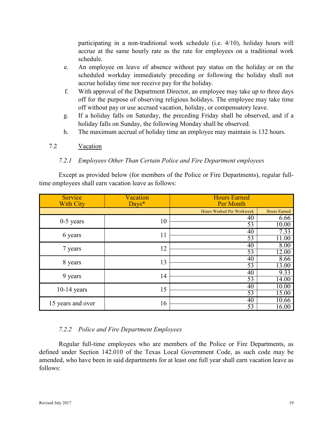participating in a non-traditional work schedule (i.e. 4/10), holiday hours will accrue at the same hourly rate as the rate for employees on a traditional work schedule.

- e. An employee on leave of absence without pay status on the holiday or on the scheduled workday immediately preceding or following the holiday shall not accrue holiday time nor receive pay for the holiday.
- f. With approval of the Department Director, an employee may take up to three days off for the purpose of observing religious holidays. The employee may take time off without pay or use accrued vacation, holiday, or compensatory leave.
- g. If a holiday falls on Saturday, the preceding Friday shall be observed, and if a holiday falls on Sunday, the following Monday shall be observed.
- h. The maximum accrual of holiday time an employee may maintain is 132 hours.

## 7.2 Vacation

## *7.2.1 Employees Other Than Certain Police and Fire Department employees*

Except as provided below (for members of the Police or Fire Departments), regular fulltime employees shall earn vacation leave as follows:

| Service<br><b>With City</b> | <b>Vacation</b><br>Days* | <b>Hours Earned</b><br>Per Month |                     |
|-----------------------------|--------------------------|----------------------------------|---------------------|
|                             |                          | Hours Worked Per Workweek        | <b>Hours Earned</b> |
| $0-5$ years                 | 10                       | 40                               | 6.66                |
|                             |                          | 53                               | 10.00               |
| 6 years                     | 11                       | 40                               | 7.33                |
|                             |                          | 53                               | 11.00               |
| 7 years                     | 12                       | 40                               | 8.00                |
|                             |                          | 53                               | 12.00               |
|                             | 13<br>8 years            | 40                               | 8.66                |
|                             |                          | 53                               | 13.00               |
| 9 years                     | 14                       | 40                               | 9.33                |
|                             |                          | 53                               | 14.00               |
| $10-14$ years               | 15                       | 40                               | 10.00               |
|                             |                          | 53                               | 15.00               |
| 15 years and over           | 16                       | 40                               | 10.66               |
|                             | 53                       | 16.00                            |                     |

## *7.2.2 Police and Fire Department Employees*

Regular full-time employees who are members of the Police or Fire Departments, as defined under Section 142.010 of the Texas Local Government Code, as such code may be amended, who have been in said departments for at least one full year shall earn vacation leave as follows: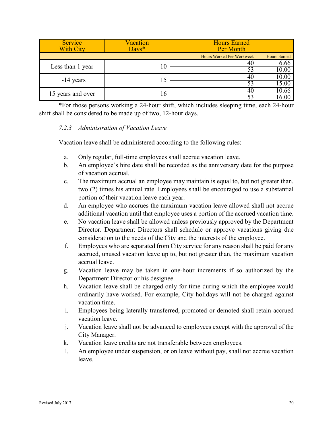| <b>Service</b><br><b>With City</b> | <b>Vacation</b><br>$Davs*$ | <b>Hours Earned</b><br>Per Month |                     |
|------------------------------------|----------------------------|----------------------------------|---------------------|
|                                    |                            | Hours Worked Per Workweek        | <b>Hours Earned</b> |
| Less than 1 year                   | 10                         | 40                               | 6.66                |
|                                    |                            | 53                               | 10.00               |
| $1-14$ years                       | 15                         | 40                               | 10.00               |
|                                    |                            | 53                               | 15.00               |
|                                    | 16                         | 40                               | 10.66               |
| 15 years and over                  |                            | 53                               |                     |

\*For those persons working a 24-hour shift, which includes sleeping time, each 24-hour shift shall be considered to be made up of two, 12-hour days.

#### *7.2.3 Administration of Vacation Leave*

Vacation leave shall be administered according to the following rules:

- a. Only regular, full-time employees shall accrue vacation leave.
- b. An employee's hire date shall be recorded as the anniversary date for the purpose of vacation accrual.
- c. The maximum accrual an employee may maintain is equal to, but not greater than, two (2) times his annual rate. Employees shall be encouraged to use a substantial portion of their vacation leave each year.
- d. An employee who accrues the maximum vacation leave allowed shall not accrue additional vacation until that employee uses a portion of the accrued vacation time.
- e. No vacation leave shall be allowed unless previously approved by the Department Director. Department Directors shall schedule or approve vacations giving due consideration to the needs of the City and the interests of the employee.
- f. Employees who are separated from City service for any reason shall be paid for any accrued, unused vacation leave up to, but not greater than, the maximum vacation accrual leave.
- g. Vacation leave may be taken in one-hour increments if so authorized by the Department Director or his designee.
- h. Vacation leave shall be charged only for time during which the employee would ordinarily have worked. For example, City holidays will not be charged against vacation time.
- i. Employees being laterally transferred, promoted or demoted shall retain accrued vacation leave.
- j. Vacation leave shall not be advanced to employees except with the approval of the City Manager.
- k. Vacation leave credits are not transferable between employees.
- l. An employee under suspension, or on leave without pay, shall not accrue vacation leave.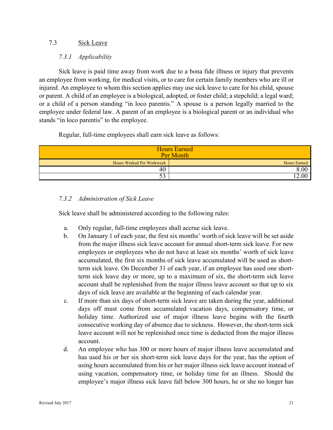#### 7.3 Sick Leave

#### *7.3.1 Applicability*

Sick leave is paid time away from work due to a bona fide illness or injury that prevents an employee from working, for medical visits, or to care for certain family members who are ill or injured. An employee to whom this section applies may use sick leave to care for his child, spouse or parent. A child of an employee is a biological, adopted, or foster child; a stepchild; a legal ward; or a child of a person standing "in loco parentis." A spouse is a person legally married to the employee under federal law. A parent of an employee is a biological parent or an individual who stands "in loco parentis" to the employee.

Regular, full-time employees shall earn sick leave as follows:

| <b>Hours Earned</b><br>Per Month |              |  |  |
|----------------------------------|--------------|--|--|
| Hours Worked Per Workweek        | Hours Earned |  |  |
| 40                               | 8.00         |  |  |
| $\overline{\phantom{a}}$<br>99   | 2.00         |  |  |

## *7.3.2 Administration of Sick Leave*

Sick leave shall be administered according to the following rules:

- a. Only regular, full-time employees shall accrue sick leave.
- b. On January 1 of each year, the first six months' worth of sick leave will be set aside from the major illness sick leave account for annual short-term sick leave. For new employees or employees who do not have at least six months' worth of sick leave accumulated, the first six months of sick leave accumulated will be used as shortterm sick leave. On December 31 of each year, if an employee has used one shortterm sick leave day or more, up to a maximum of six, the short-term sick leave account shall be replenished from the major illness leave account so that up to six days of sick leave are available at the beginning of each calendar year.
- c. If more than six days of short-term sick leave are taken during the year, additional days off must come from accumulated vacation days, compensatory time, or holiday time. Authorized use of major illness leave begins with the fourth consecutive working day of absence due to sickness. However, the short-term sick leave account will not be replenished once time is deducted from the major illness account.
- d. An employee who has 300 or more hours of major illness leave accumulated and has used his or her six short-term sick leave days for the year, has the option of using hours accumulated from his or her major illness sick leave account instead of using vacation, compensatory time, or holiday time for an illness. Should the employee's major illness sick leave fall below 300 hours, he or she no longer has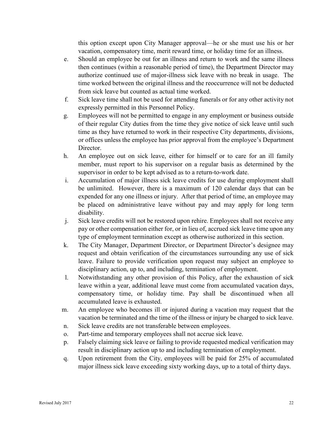this option except upon City Manager approval—he or she must use his or her vacation, compensatory time, merit reward time, or holiday time for an illness.

- e. Should an employee be out for an illness and return to work and the same illness then continues (within a reasonable period of time), the Department Director may authorize continued use of major-illness sick leave with no break in usage. The time worked between the original illness and the reoccurrence will not be deducted from sick leave but counted as actual time worked.
- f. Sick leave time shall not be used for attending funerals or for any other activity not expressly permitted in this Personnel Policy.
- g. Employees will not be permitted to engage in any employment or business outside of their regular City duties from the time they give notice of sick leave until such time as they have returned to work in their respective City departments, divisions, or offices unless the employee has prior approval from the employee's Department Director.
- h. An employee out on sick leave, either for himself or to care for an ill family member, must report to his supervisor on a regular basis as determined by the supervisor in order to be kept advised as to a return-to-work date.
- i. Accumulation of major illness sick leave credits for use during employment shall be unlimited. However, there is a maximum of 120 calendar days that can be expended for any one illness or injury. After that period of time, an employee may be placed on administrative leave without pay and may apply for long term disability.
- j. Sick leave credits will not be restored upon rehire. Employees shall not receive any pay or other compensation either for, or in lieu of, accrued sick leave time upon any type of employment termination except as otherwise authorized in this section.
- k. The City Manager, Department Director, or Department Director's designee may request and obtain verification of the circumstances surrounding any use of sick leave. Failure to provide verification upon request may subject an employee to disciplinary action, up to, and including, termination of employment.
- l. Notwithstanding any other provision of this Policy, after the exhaustion of sick leave within a year, additional leave must come from accumulated vacation days, compensatory time, or holiday time. Pay shall be discontinued when all accumulated leave is exhausted.
- m. An employee who becomes ill or injured during a vacation may request that the vacation be terminated and the time of the illness or injury be charged to sick leave.
- n. Sick leave credits are not transferable between employees.
- o. Part-time and temporary employees shall not accrue sick leave.
- p. Falsely claiming sick leave or failing to provide requested medical verification may result in disciplinary action up to and including termination of employment.
- q. Upon retirement from the City, employees will be paid for 25% of accumulated major illness sick leave exceeding sixty working days, up to a total of thirty days.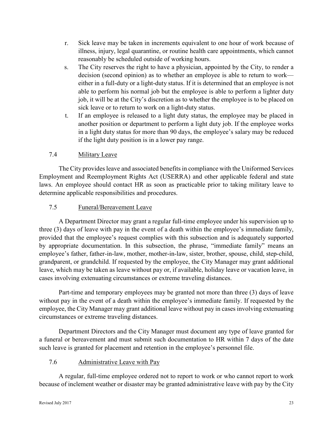- r. Sick leave may be taken in increments equivalent to one hour of work because of illness, injury, legal quarantine, or routine health care appointments, which cannot reasonably be scheduled outside of working hours.
- s. The City reserves the right to have a physician, appointed by the City, to render a decision (second opinion) as to whether an employee is able to return to work either in a full-duty or a light-duty status. If it is determined that an employee is not able to perform his normal job but the employee is able to perform a lighter duty job, it will be at the City's discretion as to whether the employee is to be placed on sick leave or to return to work on a light-duty status.
- t. If an employee is released to a light duty status, the employee may be placed in another position or department to perform a light duty job. If the employee works in a light duty status for more than 90 days, the employee's salary may be reduced if the light duty position is in a lower pay range.

## 7.4 Military Leave

The City provides leave and associated benefits in compliance with the Uniformed Services Employment and Reemployment Rights Act (USERRA) and other applicable federal and state laws. An employee should contact HR as soon as practicable prior to taking military leave to determine applicable responsibilities and procedures.

## 7.5 Funeral/Bereavement Leave

A Department Director may grant a regular full-time employee under his supervision up to three (3) days of leave with pay in the event of a death within the employee's immediate family, provided that the employee's request complies with this subsection and is adequately supported by appropriate documentation. In this subsection, the phrase, "immediate family" means an employee's father, father-in-law, mother, mother-in-law, sister, brother, spouse, child, step-child, grandparent, or grandchild. If requested by the employee, the City Manager may grant additional leave, which may be taken as leave without pay or, if available, holiday leave or vacation leave, in cases involving extenuating circumstances or extreme traveling distances.

Part-time and temporary employees may be granted not more than three (3) days of leave without pay in the event of a death within the employee's immediate family. If requested by the employee, the City Manager may grant additional leave without pay in cases involving extenuating circumstances or extreme traveling distances.

Department Directors and the City Manager must document any type of leave granted for a funeral or bereavement and must submit such documentation to HR within 7 days of the date such leave is granted for placement and retention in the employee's personnel file.

## 7.6 Administrative Leave with Pay

A regular, full-time employee ordered not to report to work or who cannot report to work because of inclement weather or disaster may be granted administrative leave with pay by the City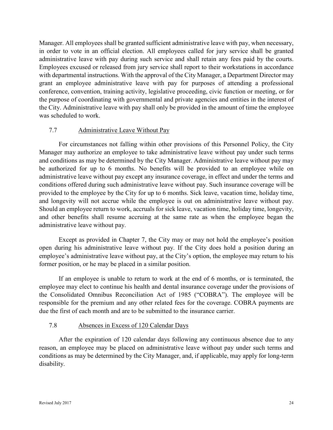Manager. All employees shall be granted sufficient administrative leave with pay, when necessary, in order to vote in an official election. All employees called for jury service shall be granted administrative leave with pay during such service and shall retain any fees paid by the courts. Employees excused or released from jury service shall report to their workstations in accordance with departmental instructions. With the approval of the City Manager, a Department Director may grant an employee administrative leave with pay for purposes of attending a professional conference, convention, training activity, legislative proceeding, civic function or meeting, or for the purpose of coordinating with governmental and private agencies and entities in the interest of the City. Administrative leave with pay shall only be provided in the amount of time the employee was scheduled to work.

## 7.7 Administrative Leave Without Pay

For circumstances not falling within other provisions of this Personnel Policy, the City Manager may authorize an employee to take administrative leave without pay under such terms and conditions as may be determined by the City Manager. Administrative leave without pay may be authorized for up to 6 months. No benefits will be provided to an employee while on administrative leave without pay except any insurance coverage, in effect and under the terms and conditions offered during such administrative leave without pay. Such insurance coverage will be provided to the employee by the City for up to 6 months. Sick leave, vacation time, holiday time, and longevity will not accrue while the employee is out on administrative leave without pay. Should an employee return to work, accruals for sick leave, vacation time, holiday time, longevity, and other benefits shall resume accruing at the same rate as when the employee began the administrative leave without pay.

Except as provided in Chapter 7, the City may or may not hold the employee's position open during his administrative leave without pay. If the City does hold a position during an employee's administrative leave without pay, at the City's option, the employee may return to his former position, or he may be placed in a similar position.

If an employee is unable to return to work at the end of 6 months, or is terminated, the employee may elect to continue his health and dental insurance coverage under the provisions of the Consolidated Omnibus Reconciliation Act of 1985 ("COBRA"). The employee will be responsible for the premium and any other related fees for the coverage. COBRA payments are due the first of each month and are to be submitted to the insurance carrier.

## 7.8 Absences in Excess of 120 Calendar Days

After the expiration of 120 calendar days following any continuous absence due to any reason, an employee may be placed on administrative leave without pay under such terms and conditions as may be determined by the City Manager, and, if applicable, may apply for long-term disability.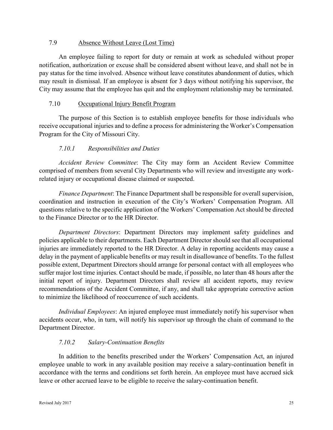#### 7.9 Absence Without Leave (Lost Time)

An employee failing to report for duty or remain at work as scheduled without proper notification, authorization or excuse shall be considered absent without leave, and shall not be in pay status for the time involved. Absence without leave constitutes abandonment of duties, which may result in dismissal. If an employee is absent for 3 days without notifying his supervisor, the City may assume that the employee has quit and the employment relationship may be terminated.

#### 7.10 Occupational Injury Benefit Program

The purpose of this Section is to establish employee benefits for those individuals who receive occupational injuries and to define a process for administering the Worker's Compensation Program for the City of Missouri City.

## *7.10.1 Responsibilities and Duties*

*Accident Review Committee*: The City may form an Accident Review Committee comprised of members from several City Departments who will review and investigate any workrelated injury or occupational disease claimed or suspected.

*Finance Department*: The Finance Department shall be responsible for overall supervision, coordination and instruction in execution of the City's Workers' Compensation Program. All questions relative to the specific application of the Workers' Compensation Act should be directed to the Finance Director or to the HR Director.

*Department Directors*: Department Directors may implement safety guidelines and policies applicable to their departments. Each Department Director should see that all occupational injuries are immediately reported to the HR Director. A delay in reporting accidents may cause a delay in the payment of applicable benefits or may result in disallowance of benefits. To the fullest possible extent, Department Directors should arrange for personal contact with all employees who suffer major lost time injuries. Contact should be made, if possible, no later than 48 hours after the initial report of injury. Department Directors shall review all accident reports, may review recommendations of the Accident Committee, if any, and shall take appropriate corrective action to minimize the likelihood of reoccurrence of such accidents.

*Individual Employees*: An injured employee must immediately notify his supervisor when accidents occur, who, in turn, will notify his supervisor up through the chain of command to the Department Director.

## *7.10.2 Salary-Continuation Benefits*

In addition to the benefits prescribed under the Workers' Compensation Act, an injured employee unable to work in any available position may receive a salary-continuation benefit in accordance with the terms and conditions set forth herein. An employee must have accrued sick leave or other accrued leave to be eligible to receive the salary-continuation benefit.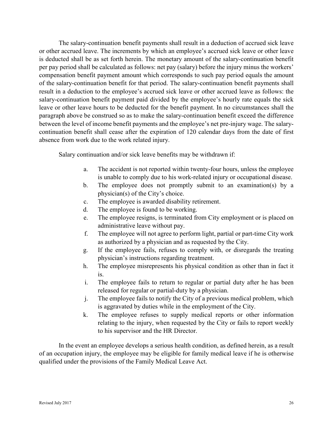The salary-continuation benefit payments shall result in a deduction of accrued sick leave or other accrued leave. The increments by which an employee's accrued sick leave or other leave is deducted shall be as set forth herein. The monetary amount of the salary-continuation benefit per pay period shall be calculated as follows: net pay (salary) before the injury minus the workers' compensation benefit payment amount which corresponds to such pay period equals the amount of the salary-continuation benefit for that period. The salary-continuation benefit payments shall result in a deduction to the employee's accrued sick leave or other accrued leave as follows: the salary-continuation benefit payment paid divided by the employee's hourly rate equals the sick leave or other leave hours to be deducted for the benefit payment. In no circumstances shall the paragraph above be construed so as to make the salary-continuation benefit exceed the difference between the level of income benefit payments and the employee's net pre-injury wage. The salarycontinuation benefit shall cease after the expiration of 120 calendar days from the date of first absence from work due to the work related injury.

Salary continuation and/or sick leave benefits may be withdrawn if:

- a. The accident is not reported within twenty-four hours, unless the employee is unable to comply due to his work-related injury or occupational disease.
- b. The employee does not promptly submit to an examination(s) by a physician(s) of the City's choice.
- c. The employee is awarded disability retirement.
- d. The employee is found to be working.
- e. The employee resigns, is terminated from City employment or is placed on administrative leave without pay.
- f. The employee will not agree to perform light, partial or part-time City work as authorized by a physician and as requested by the City.
- g. If the employee fails, refuses to comply with, or disregards the treating physician's instructions regarding treatment.
- h. The employee misrepresents his physical condition as other than in fact it is.
- i. The employee fails to return to regular or partial duty after he has been released for regular or partial-duty by a physician.
- j. The employee fails to notify the City of a previous medical problem, which is aggravated by duties while in the employment of the City.
- k. The employee refuses to supply medical reports or other information relating to the injury, when requested by the City or fails to report weekly to his supervisor and the HR Director.

In the event an employee develops a serious health condition, as defined herein, as a result of an occupation injury, the employee may be eligible for family medical leave if he is otherwise qualified under the provisions of the Family Medical Leave Act.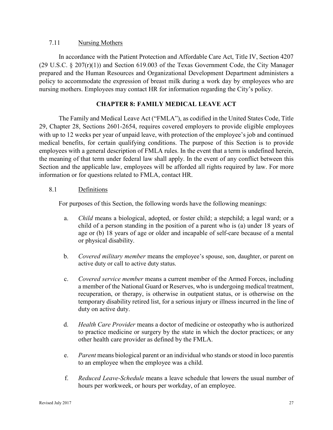#### 7.11 Nursing Mothers

In accordance with the Patient Protection and Affordable Care Act, Title IV, Section 4207 (29 U.S.C. § 207(r)(1)) and Section 619.003 of the Texas Government Code, the City Manager prepared and the Human Resources and Organizational Development Department administers a policy to accommodate the expression of breast milk during a work day by employees who are nursing mothers. Employees may contact HR for information regarding the City's policy.

## **CHAPTER 8: FAMILY MEDICAL LEAVE ACT**

The Family and Medical Leave Act ("FMLA"), as codified in the United States Code, Title 29, Chapter 28, Sections 2601-2654, requires covered employers to provide eligible employees with up to 12 weeks per year of unpaid leave, with protection of the employee's job and continued medical benefits, for certain qualifying conditions. The purpose of this Section is to provide employees with a general description of FMLA rules. In the event that a term is undefined herein, the meaning of that term under federal law shall apply. In the event of any conflict between this Section and the applicable law, employees will be afforded all rights required by law. For more information or for questions related to FMLA, contact HR.

## 8.1 Definitions

For purposes of this Section, the following words have the following meanings:

- a. *Child* means a biological, adopted, or foster child; a stepchild; a legal ward; or a child of a person standing in the position of a parent who is (a) under 18 years of age or (b) 18 years of age or older and incapable of self-care because of a mental or physical disability.
- b. *Covered military member* means the employee's spouse, son, daughter, or parent on active duty or call to active duty status.
- c. *Covered service member* means a current member of the Armed Forces, including a member of the National Guard or Reserves, who is undergoing medical treatment, recuperation, or therapy, is otherwise in outpatient status, or is otherwise on the temporary disability retired list, for a serious injury or illness incurred in the line of duty on active duty.
- d. *Health Care Provider* means a doctor of medicine or osteopathy who is authorized to practice medicine or surgery by the state in which the doctor practices; or any other health care provider as defined by the FMLA.
- e. *Parent* means biological parent or an individual who stands or stood in loco parentis to an employee when the employee was a child.
- f. *Reduced Leave-Schedule* means a leave schedule that lowers the usual number of hours per workweek, or hours per workday, of an employee.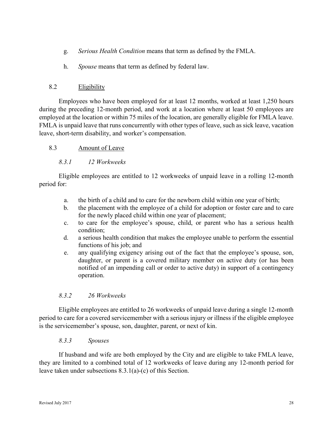- g. *Serious Health Condition* means that term as defined by the FMLA.
- h. *Spouse* means that term as defined by federal law.

## 8.2 Eligibility

Employees who have been employed for at least 12 months, worked at least 1,250 hours during the preceding 12-month period, and work at a location where at least 50 employees are employed at the location or within 75 miles of the location, are generally eligible for FMLA leave. FMLA is unpaid leave that runs concurrently with other types of leave, such as sick leave, vacation leave, short-term disability, and worker's compensation.

## 8.3 Amount of Leave

## *8.3.1 12 Workweeks*

Eligible employees are entitled to 12 workweeks of unpaid leave in a rolling 12-month period for:

- a. the birth of a child and to care for the newborn child within one year of birth;
- b. the placement with the employee of a child for adoption or foster care and to care for the newly placed child within one year of placement;
- c. to care for the employee's spouse, child, or parent who has a serious health condition;
- d. a serious health condition that makes the employee unable to perform the essential functions of his job; and
- e. any qualifying exigency arising out of the fact that the employee's spouse, son, daughter, or parent is a covered military member on active duty (or has been notified of an impending call or order to active duty) in support of a contingency operation.

## *8.3.2 26 Workweeks*

Eligible employees are entitled to 26 workweeks of unpaid leave during a single 12-month period to care for a covered servicemember with a serious injury or illness if the eligible employee is the servicemember's spouse, son, daughter, parent, or next of kin.

## *8.3.3 Spouses*

If husband and wife are both employed by the City and are eligible to take FMLA leave, they are limited to a combined total of 12 workweeks of leave during any 12-month period for leave taken under subsections 8.3.1(a)-(c) of this Section.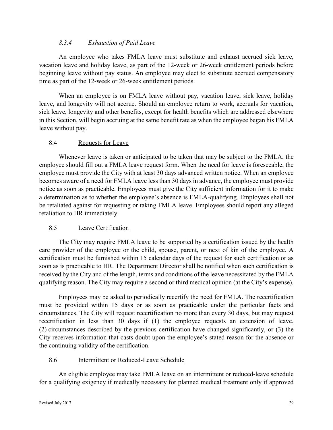## *8.3.4 Exhaustion of Paid Leave*

An employee who takes FMLA leave must substitute and exhaust accrued sick leave, vacation leave and holiday leave, as part of the 12-week or 26-week entitlement periods before beginning leave without pay status. An employee may elect to substitute accrued compensatory time as part of the 12-week or 26-week entitlement periods.

When an employee is on FMLA leave without pay, vacation leave, sick leave, holiday leave, and longevity will not accrue. Should an employee return to work, accruals for vacation, sick leave, longevity and other benefits, except for health benefits which are addressed elsewhere in this Section, will begin accruing at the same benefit rate as when the employee began his FMLA leave without pay.

#### 8.4 Requests for Leave

Whenever leave is taken or anticipated to be taken that may be subject to the FMLA, the employee should fill out a FMLA leave request form. When the need for leave is foreseeable, the employee must provide the City with at least 30 days advanced written notice. When an employee becomes aware of a need for FMLA leave less than 30 days in advance, the employee must provide notice as soon as practicable. Employees must give the City sufficient information for it to make a determination as to whether the employee's absence is FMLA-qualifying. Employees shall not be retaliated against for requesting or taking FMLA leave. Employees should report any alleged retaliation to HR immediately.

## 8.5 Leave Certification

The City may require FMLA leave to be supported by a certification issued by the health care provider of the employee or the child, spouse, parent, or next of kin of the employee. A certification must be furnished within 15 calendar days of the request for such certification or as soon as is practicable to HR. The Department Director shall be notified when such certification is received by the City and of the length, terms and conditions of the leave necessitated by the FMLA qualifying reason. The City may require a second or third medical opinion (at the City's expense).

Employees may be asked to periodically recertify the need for FMLA. The recertification must be provided within 15 days or as soon as practicable under the particular facts and circumstances. The City will request recertification no more than every 30 days, but may request recertification in less than 30 days if (1) the employee requests an extension of leave, (2) circumstances described by the previous certification have changed significantly, or (3) the City receives information that casts doubt upon the employee's stated reason for the absence or the continuing validity of the certification.

## 8.6 Intermittent or Reduced-Leave Schedule

An eligible employee may take FMLA leave on an intermittent or reduced-leave schedule for a qualifying exigency if medically necessary for planned medical treatment only if approved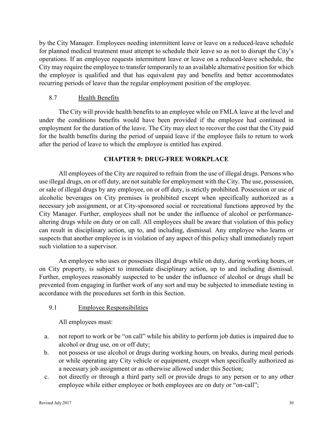by the City Manager. Employees needing intermittent leave or leave on a reduced-leave schedule for planned medical treatment must attempt to schedule their leave so as not to disrupt the City's operations. If an employee requests intermittent leave or leave on a reduced-leave schedule, the City may require the employee to transfer temporarily to an available alternative position for which the employee is qualified and that has equivalent pay and benefits and better accommodates recurring periods of leave than the regular employment position of the employee.

## 8.7 Health Benefits

The City will provide health benefits to an employee while on FMLA leave at the level and under the conditions benefits would have been provided if the employee had continued in employment for the duration of the leave. The City may elect to recover the cost that the City paid for the health benefits during the period of unpaid leave if the employee fails to return to work after the period of leave to which the employee is entitled has expired.

## **CHAPTER 9: DRUG-FREE WORKPLACE**

All employees of the City are required to refrain from the use of illegal drugs. Persons who use illegal drugs, on or off duty, are not suitable for employment with the City. The use, possession, or sale of illegal drugs by any employee, on or off duty, is strictly prohibited. Possession or use of alcoholic beverages on City premises is prohibited except when specifically authorized as a necessary job assignment, or at City-sponsored social or recreational functions approved by the City Manager. Further, employees shall not be under the influence of alcohol or performancealtering drugs while on duty or on call. All employees shall be aware that violation of this policy can result in disciplinary action, up to, and including, dismissal. Any employee who learns or suspects that another employee is in violation of any aspect of this policy shall immediately report such violation to a supervisor.

An employee who uses or possesses illegal drugs while on duty, during working hours, or on City property, is subject to immediate disciplinary action, up to and including dismissal. Further, employees reasonably suspected to be under the influence of alcohol or drugs shall be prevented from engaging in further work of any sort and may be subjected to immediate testing in accordance with the procedures set forth in this Section.

## 9.1 Employee Responsibilities

All employees must:

- a. not report to work or be "on call" while his ability to perform job duties is impaired due to alcohol or drug use, on or off duty;
- b. not possess or use alcohol or drugs during working hours, on breaks, during meal periods or while operating any City vehicle or equipment, except when specifically authorized as a necessary job assignment or as otherwise allowed under this Section;
- c. not directly or through a third party sell or provide drugs to any person or to any other employee while either employee or both employees are on duty or "on-call";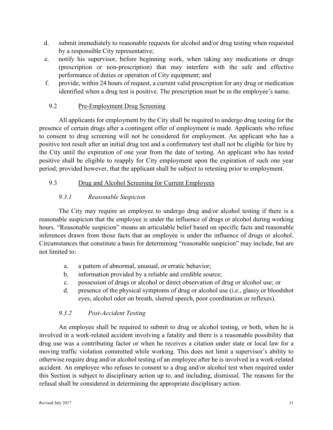- d. submit immediately to reasonable requests for alcohol and/or drug testing when requested by a responsible City representative;
- e. notify his supervisor, before beginning work, when taking any medications or drugs (prescription or non-prescription) that may interfere with the safe and effective performance of duties or operation of City equipment; and
- f. provide, within 24 hours of request, a current valid prescription for any drug or medication identified when a drug test is positive. The prescription must be in the employee's name.

## 9.2 Pre-Employment Drug Screening

All applicants for employment by the City shall be required to undergo drug testing for the presence of certain drugs after a contingent offer of employment is made. Applicants who refuse to consent to drug screening will not be considered for employment. An applicant who has a positive test result after an initial drug test and a confirmatory test shall not be eligible for hire by the City until the expiration of one year from the date of testing. An applicant who has tested positive shall be eligible to reapply for City employment upon the expiration of such one year period; provided however, that the applicant shall be subject to retesting prior to employment.

## 9.3 Drug and Alcohol Screening for Current Employees

## *9.3.1 Reasonable Suspicion*

The City may require an employee to undergo drug and/or alcohol testing if there is a reasonable suspicion that the employee is under the influence of drugs or alcohol during working hours. "Reasonable suspicion" means an articulable belief based on specific facts and reasonable inferences drawn from those facts that an employee is under the influence of drugs or alcohol. Circumstances that constitute a basis for determining "reasonable suspicion" may include, but are not limited to:

- a. a pattern of abnormal, unusual, or erratic behavior;
- b. information provided by a reliable and credible source;
- c. possession of drugs or alcohol or direct observation of drug or alcohol use; or
- d. presence of the physical symptoms of drug or alcohol use (i.e., glassy or bloodshot eyes, alcohol odor on breath, slurred speech, poor coordination or reflexes).

## *9.3.2 Post-Accident Testing*

An employee shall be required to submit to drug or alcohol testing, or both, when he is involved in a work-related accident involving a fatality and there is a reasonable possibility that drug use was a contributing factor or when he receives a citation under state or local law for a moving traffic violation committed while working. This does not limit a supervisor's ability to otherwise require drug and/or alcohol testing of an employee after he is involved in a work-related accident. An employee who refuses to consent to a drug and/or alcohol test when required under this Section is subject to disciplinary action up to, and including, dismissal. The reasons for the refusal shall be considered in determining the appropriate disciplinary action.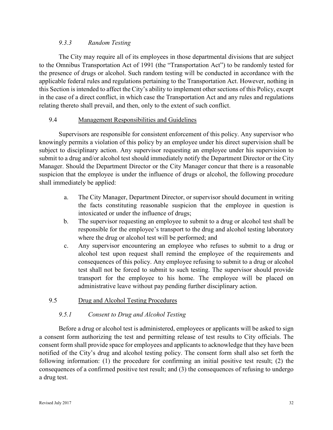## *9.3.3 Random Testing*

The City may require all of its employees in those departmental divisions that are subject to the Omnibus Transportation Act of 1991 (the "Transportation Act") to be randomly tested for the presence of drugs or alcohol. Such random testing will be conducted in accordance with the applicable federal rules and regulations pertaining to the Transportation Act. However, nothing in this Section is intended to affect the City's ability to implement other sections of this Policy, except in the case of a direct conflict, in which case the Transportation Act and any rules and regulations relating thereto shall prevail, and then, only to the extent of such conflict.

## 9.4 Management Responsibilities and Guidelines

Supervisors are responsible for consistent enforcement of this policy. Any supervisor who knowingly permits a violation of this policy by an employee under his direct supervision shall be subject to disciplinary action. Any supervisor requesting an employee under his supervision to submit to a drug and/or alcohol test should immediately notify the Department Director or the City Manager. Should the Department Director or the City Manager concur that there is a reasonable suspicion that the employee is under the influence of drugs or alcohol, the following procedure shall immediately be applied:

- a. The City Manager, Department Director, or supervisor should document in writing the facts constituting reasonable suspicion that the employee in question is intoxicated or under the influence of drugs;
- b. The supervisor requesting an employee to submit to a drug or alcohol test shall be responsible for the employee's transport to the drug and alcohol testing laboratory where the drug or alcohol test will be performed; and
- c. Any supervisor encountering an employee who refuses to submit to a drug or alcohol test upon request shall remind the employee of the requirements and consequences of this policy. Any employee refusing to submit to a drug or alcohol test shall not be forced to submit to such testing. The supervisor should provide transport for the employee to his home. The employee will be placed on administrative leave without pay pending further disciplinary action.

## 9.5 Drug and Alcohol Testing Procedures

## *9.5.1 Consent to Drug and Alcohol Testing*

Before a drug or alcohol test is administered, employees or applicants will be asked to sign a consent form authorizing the test and permitting release of test results to City officials. The consent form shall provide space for employees and applicants to acknowledge that they have been notified of the City's drug and alcohol testing policy. The consent form shall also set forth the following information: (1) the procedure for confirming an initial positive test result; (2) the consequences of a confirmed positive test result; and (3) the consequences of refusing to undergo a drug test.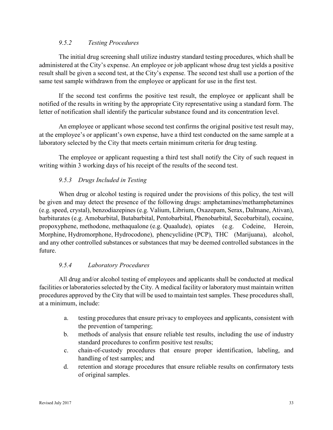## *9.5.2 Testing Procedures*

The initial drug screening shall utilize industry standard testing procedures, which shall be administered at the City's expense. An employee or job applicant whose drug test yields a positive result shall be given a second test, at the City's expense. The second test shall use a portion of the same test sample withdrawn from the employee or applicant for use in the first test.

If the second test confirms the positive test result, the employee or applicant shall be notified of the results in writing by the appropriate City representative using a standard form. The letter of notification shall identify the particular substance found and its concentration level.

An employee or applicant whose second test confirms the original positive test result may, at the employee's or applicant's own expense, have a third test conducted on the same sample at a laboratory selected by the City that meets certain minimum criteria for drug testing.

The employee or applicant requesting a third test shall notify the City of such request in writing within 3 working days of his receipt of the results of the second test.

## *9.5.3 Drugs Included in Testing*

When drug or alcohol testing is required under the provisions of this policy, the test will be given and may detect the presence of the following drugs: amphetamines/methamphetamines (e.g. speed, crystal), benzodiazepines (e.g. Valium, Librium, Oxazepam, Serax, Dalmane, Ativan), barbiturates (e.g. Amobarbital, Butabarbital, Pentobarbital, Phenobarbital, Secobarbital), cocaine, propoxyphene, methodone, methaqualone (e.g. Quaalude), opiates (e.g. Codeine, Heroin, Morphine, Hydromorphone, Hydrocodone), phencyclidine (PCP), THC (Marijuana), alcohol, and any other controlled substances or substances that may be deemed controlled substances in the future.

## *9.5.4 Laboratory Procedures*

All drug and/or alcohol testing of employees and applicants shall be conducted at medical facilities or laboratories selected by the City. A medical facility or laboratory must maintain written procedures approved by the City that will be used to maintain test samples. These procedures shall, at a minimum, include:

- a. testing procedures that ensure privacy to employees and applicants, consistent with the prevention of tampering;
- b. methods of analysis that ensure reliable test results, including the use of industry standard procedures to confirm positive test results;
- c. chain-of-custody procedures that ensure proper identification, labeling, and handling of test samples; and
- d. retention and storage procedures that ensure reliable results on confirmatory tests of original samples.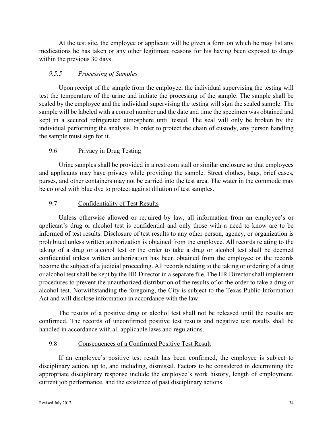At the test site, the employee or applicant will be given a form on which he may list any medications he has taken or any other legitimate reasons for his having been exposed to drugs within the previous 30 days.

## *9.5.5 Processing of Samples*

Upon receipt of the sample from the employee, the individual supervising the testing will test the temperature of the urine and initiate the processing of the sample. The sample shall be sealed by the employee and the individual supervising the testing will sign the sealed sample. The sample will be labeled with a control number and the date and time the specimen was obtained and kept in a secured refrigerated atmosphere until tested. The seal will only be broken by the individual performing the analysis. In order to protect the chain of custody, any person handling the sample must sign for it.

## 9.6 Privacy in Drug Testing

Urine samples shall be provided in a restroom stall or similar enclosure so that employees and applicants may have privacy while providing the sample. Street clothes, bags, brief cases, purses, and other containers may not be carried into the test area. The water in the commode may be colored with blue dye to protect against dilution of test samples.

#### 9.7 Confidentiality of Test Results

Unless otherwise allowed or required by law, all information from an employee's or applicant's drug or alcohol test is confidential and only those with a need to know are to be informed of test results. Disclosure of test results to any other person, agency, or organization is prohibited unless written authorization is obtained from the employee. All records relating to the taking of a drug or alcohol test or the order to take a drug or alcohol test shall be deemed confidential unless written authorization has been obtained from the employee or the records become the subject of a judicial proceeding. All records relating to the taking or ordering of a drug or alcohol test shall be kept by the HR Director in a separate file. The HR Director shall implement procedures to prevent the unauthorized distribution of the results of or the order to take a drug or alcohol test. Notwithstanding the foregoing, the City is subject to the Texas Public Information Act and will disclose information in accordance with the law.

The results of a positive drug or alcohol test shall not be released until the results are confirmed. The records of unconfirmed positive test results and negative test results shall be handled in accordance with all applicable laws and regulations.

#### 9.8 Consequences of a Confirmed Positive Test Result

If an employee's positive test result has been confirmed, the employee is subject to disciplinary action, up to, and including, dismissal. Factors to be considered in determining the appropriate disciplinary response include the employee's work history, length of employment, current job performance, and the existence of past disciplinary actions.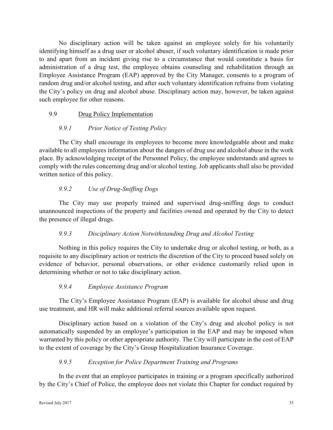No disciplinary action will be taken against an employee solely for his voluntarily identifying himself as a drug user or alcohol abuser, if such voluntary identification is made prior to and apart from an incident giving rise to a circumstance that would constitute a basis for administration of a drug test, the employee obtains counseling and rehabilitation through an Employee Assistance Program (EAP) approved by the City Manager, consents to a program of random drug and/or alcohol testing, and after such voluntary identification refrains from violating the City's policy on drug and alcohol abuse. Disciplinary action may, however, be taken against such employee for other reasons.

## 9.9 Drug Policy Implementation

## *9.9.1 Prior Notice of Testing Policy*

The City shall encourage its employees to become more knowledgeable about and make available to all employees information about the dangers of drug use and alcohol abuse in the work place. By acknowledging receipt of the Personnel Policy, the employee understands and agrees to comply with the rules concerning drug and/or alcohol testing. Job applicants shall also be provided written notice of this policy.

## *9.9.2 Use of Drug-Sniffing Dogs*

The City may use properly trained and supervised drug-sniffing dogs to conduct unannounced inspections of the property and facilities owned and operated by the City to detect the presence of illegal drugs.

## *9.9.3 Disciplinary Action Notwithstanding Drug and Alcohol Testing*

Nothing in this policy requires the City to undertake drug or alcohol testing, or both, as a requisite to any disciplinary action or restricts the discretion of the City to proceed based solely on evidence of behavior, personal observations, or other evidence customarily relied upon in determining whether or not to take disciplinary action.

## *9.9.4 Employee Assistance Program*

The City's Employee Assistance Program (EAP) is available for alcohol abuse and drug use treatment, and HR will make additional referral sources available upon request.

Disciplinary action based on a violation of the City's drug and alcohol policy is not automatically suspended by an employee's participation in the EAP and may be imposed when warranted by this policy or other appropriate authority. The City will participate in the cost of EAP to the extent of coverage by the City's Group Hospitalization Insurance Coverage.

## *9.9.5 Exception for Police Department Training and Programs*

In the event that an employee participates in training or a program specifically authorized by the City's Chief of Police, the employee does not violate this Chapter for conduct required by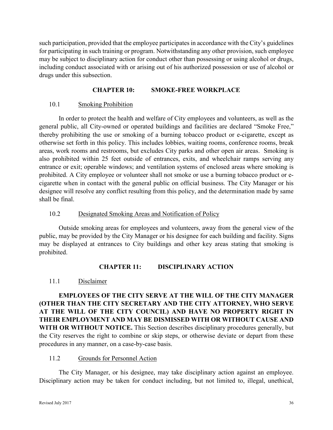such participation, provided that the employee participates in accordance with the City's guidelines for participating in such training or program. Notwithstanding any other provision, such employee may be subject to disciplinary action for conduct other than possessing or using alcohol or drugs, including conduct associated with or arising out of his authorized possession or use of alcohol or drugs under this subsection.

#### **CHAPTER 10: SMOKE-FREE WORKPLACE**

#### 10.1 Smoking Prohibition

In order to protect the health and welfare of City employees and volunteers, as well as the general public, all City-owned or operated buildings and facilities are declared "Smoke Free," thereby prohibiting the use or smoking of a burning tobacco product or e-cigarette, except as otherwise set forth in this policy. This includes lobbies, waiting rooms, conference rooms, break areas, work rooms and restrooms, but excludes City parks and other open air areas. Smoking is also prohibited within 25 feet outside of entrances, exits, and wheelchair ramps serving any entrance or exit; operable windows; and ventilation systems of enclosed areas where smoking is prohibited. A City employee or volunteer shall not smoke or use a burning tobacco product or ecigarette when in contact with the general public on official business. The City Manager or his designee will resolve any conflict resulting from this policy, and the determination made by same shall be final.

#### 10.2 Designated Smoking Areas and Notification of Policy

Outside smoking areas for employees and volunteers, away from the general view of the public, may be provided by the City Manager or his designee for each building and facility. Signs may be displayed at entrances to City buildings and other key areas stating that smoking is prohibited.

## **CHAPTER 11: DISCIPLINARY ACTION**

## 11.1 Disclaimer

**EMPLOYEES OF THE CITY SERVE AT THE WILL OF THE CITY MANAGER (OTHER THAN THE CITY SECRETARY AND THE CITY ATTORNEY, WHO SERVE AT THE WILL OF THE CITY COUNCIL) AND HAVE NO PROPERTY RIGHT IN THEIR EMPLOYMENT AND MAY BE DISMISSED WITH OR WITHOUT CAUSE AND WITH OR WITHOUT NOTICE.** This Section describes disciplinary procedures generally, but the City reserves the right to combine or skip steps, or otherwise deviate or depart from these procedures in any manner, on a case-by-case basis.

#### 11.2 Grounds for Personnel Action

The City Manager, or his designee, may take disciplinary action against an employee. Disciplinary action may be taken for conduct including, but not limited to, illegal, unethical,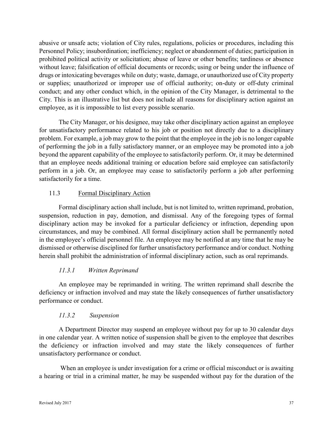abusive or unsafe acts; violation of City rules, regulations, policies or procedures, including this Personnel Policy; insubordination; inefficiency; neglect or abandonment of duties; participation in prohibited political activity or solicitation; abuse of leave or other benefits; tardiness or absence without leave; falsification of official documents or records; using or being under the influence of drugs or intoxicating beverages while on duty; waste, damage, or unauthorized use of City property or supplies; unauthorized or improper use of official authority; on-duty or off-duty criminal conduct; and any other conduct which, in the opinion of the City Manager, is detrimental to the City. This is an illustrative list but does not include all reasons for disciplinary action against an employee, as it is impossible to list every possible scenario.

The City Manager, or his designee, may take other disciplinary action against an employee for unsatisfactory performance related to his job or position not directly due to a disciplinary problem. For example, a job may grow to the point that the employee in the job is no longer capable of performing the job in a fully satisfactory manner, or an employee may be promoted into a job beyond the apparent capability of the employee to satisfactorily perform. Or, it may be determined that an employee needs additional training or education before said employee can satisfactorily perform in a job. Or, an employee may cease to satisfactorily perform a job after performing satisfactorily for a time.

## 11.3 Formal Disciplinary Action

Formal disciplinary action shall include, but is not limited to, written reprimand, probation, suspension, reduction in pay, demotion, and dismissal. Any of the foregoing types of formal disciplinary action may be invoked for a particular deficiency or infraction, depending upon circumstances, and may be combined. All formal disciplinary action shall be permanently noted in the employee's official personnel file. An employee may be notified at any time that he may be dismissed or otherwise disciplined for further unsatisfactory performance and/or conduct. Nothing herein shall prohibit the administration of informal disciplinary action, such as oral reprimands.

## *11.3.1 Written Reprimand*

An employee may be reprimanded in writing. The written reprimand shall describe the deficiency or infraction involved and may state the likely consequences of further unsatisfactory performance or conduct.

## *11.3.2 Suspension*

A Department Director may suspend an employee without pay for up to 30 calendar days in one calendar year. A written notice of suspension shall be given to the employee that describes the deficiency or infraction involved and may state the likely consequences of further unsatisfactory performance or conduct.

 When an employee is under investigation for a crime or official misconduct or is awaiting a hearing or trial in a criminal matter, he may be suspended without pay for the duration of the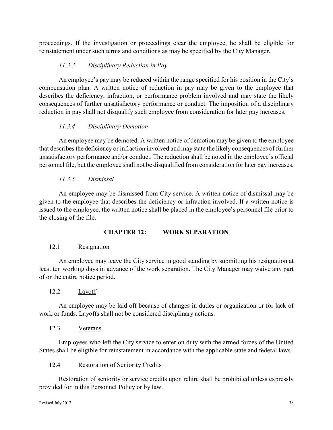proceedings. If the investigation or proceedings clear the employee, he shall be eligible for reinstatement under such terms and conditions as may be specified by the City Manager.

## *11.3.3 Disciplinary Reduction in Pay*

An employee's pay may be reduced within the range specified for his position in the City's compensation plan. A written notice of reduction in pay may be given to the employee that describes the deficiency, infraction, or performance problem involved and may state the likely consequences of further unsatisfactory performance or conduct. The imposition of a disciplinary reduction in pay shall not disqualify such employee from consideration for later pay increases.

## *11.3.4 Disciplinary Demotion*

An employee may be demoted. A written notice of demotion may be given to the employee that describes the deficiency or infraction involved and may state the likely consequences of further unsatisfactory performance and/or conduct. The reduction shall be noted in the employee's official personnel file, but the employee shall not be disqualified from consideration for later pay increases.

## *11.3.5 Dismissal*

An employee may be dismissed from City service. A written notice of dismissal may be given to the employee that describes the deficiency or infraction involved. If a written notice is issued to the employee, the written notice shall be placed in the employee's personnel file prior to the closing of the file.

## **CHAPTER 12: WORK SEPARATION**

## 12.1 Resignation

An employee may leave the City service in good standing by submitting his resignation at least ten working days in advance of the work separation. The City Manager may waive any part of or the entire notice period.

## 12.2 Layoff

An employee may be laid off because of changes in duties or organization or for lack of work or funds. Layoffs shall not be considered disciplinary actions.

## 12.3 Veterans

Employees who left the City service to enter on duty with the armed forces of the United States shall be eligible for reinstatement in accordance with the applicable state and federal laws.

## 12.4 Restoration of Seniority Credits

Restoration of seniority or service credits upon rehire shall be prohibited unless expressly provided for in this Personnel Policy or by law.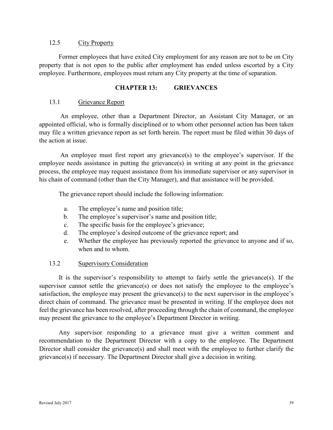#### 12.5 City Property

Former employees that have exited City employment for any reason are not to be on City property that is not open to the public after employment has ended unless escorted by a City employee. Furthermore, employees must return any City property at the time of separation.

#### **CHAPTER 13: GRIEVANCES**

#### 13.1 Grievance Report

 An employee, other than a Department Director, an Assistant City Manager, or an appointed official, who is formally disciplined or to whom other personnel action has been taken may file a written grievance report as set forth herein. The report must be filed within 30 days of the action at issue.

 An employee must first report any grievance(s) to the employee's supervisor. If the employee needs assistance in putting the grievance(s) in writing at any point in the grievance process, the employee may request assistance from his immediate supervisor or any supervisor in his chain of command (other than the City Manager), and that assistance will be provided.

The grievance report should include the following information:

- a. The employee's name and position title;
- b. The employee's supervisor's name and position title;
- c. The specific basis for the employee's grievance;
- d. The employee's desired outcome of the grievance report; and
- e. Whether the employee has previously reported the grievance to anyone and if so, when and to whom.

#### 13.2 Supervisory Consideration

It is the supervisor's responsibility to attempt to fairly settle the grievance(s). If the supervisor cannot settle the grievance(s) or does not satisfy the employee to the employee's satisfaction, the employee may present the grievance(s) to the next supervisor in the employee's direct chain of command. The grievance must be presented in writing. If the employee does not feel the grievance has been resolved, after proceeding through the chain of command, the employee may present the grievance to the employee's Department Director in writing.

Any supervisor responding to a grievance must give a written comment and recommendation to the Department Director with a copy to the employee. The Department Director shall consider the grievance(s) and shall meet with the employee to further clarify the grievance(s) if necessary. The Department Director shall give a decision in writing.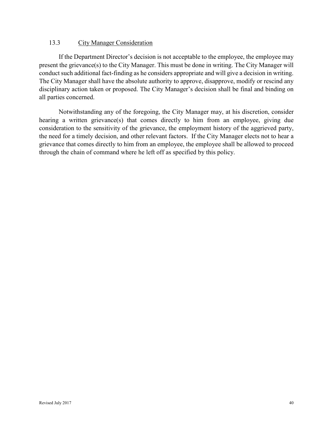#### 13.3 City Manager Consideration

If the Department Director's decision is not acceptable to the employee, the employee may present the grievance(s) to the City Manager. This must be done in writing. The City Manager will conduct such additional fact-finding as he considers appropriate and will give a decision in writing. The City Manager shall have the absolute authority to approve, disapprove, modify or rescind any disciplinary action taken or proposed. The City Manager's decision shall be final and binding on all parties concerned.

Notwithstanding any of the foregoing, the City Manager may, at his discretion, consider hearing a written grievance(s) that comes directly to him from an employee, giving due consideration to the sensitivity of the grievance, the employment history of the aggrieved party, the need for a timely decision, and other relevant factors. If the City Manager elects not to hear a grievance that comes directly to him from an employee, the employee shall be allowed to proceed through the chain of command where he left off as specified by this policy.